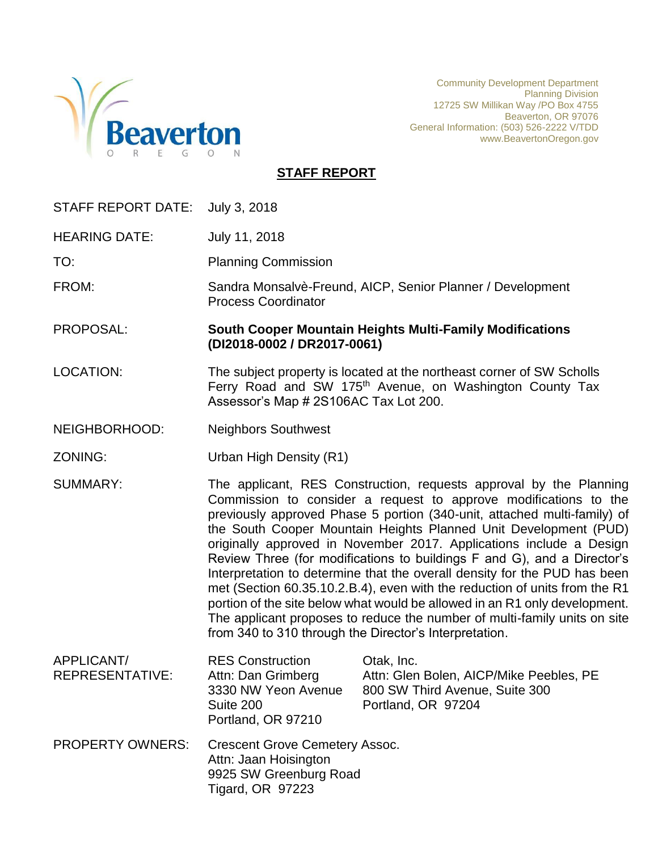

Community Development Department Planning Division 12725 SW Millikan Way /PO Box 4755 Beaverton, OR 97076 General Information: (503) 526-2222 V/TDD www.BeavertonOregon.gov

## **STAFF REPORT**

| STAFF REPORT DATE:            | July 3, 2018                                                                                                 |                                                                                                                                                                                                                                                                                                                                                                                                                                                                                                                                                                                                                                                                                                                                                                                                                          |
|-------------------------------|--------------------------------------------------------------------------------------------------------------|--------------------------------------------------------------------------------------------------------------------------------------------------------------------------------------------------------------------------------------------------------------------------------------------------------------------------------------------------------------------------------------------------------------------------------------------------------------------------------------------------------------------------------------------------------------------------------------------------------------------------------------------------------------------------------------------------------------------------------------------------------------------------------------------------------------------------|
| <b>HEARING DATE:</b>          | July 11, 2018                                                                                                |                                                                                                                                                                                                                                                                                                                                                                                                                                                                                                                                                                                                                                                                                                                                                                                                                          |
| TO:                           | <b>Planning Commission</b>                                                                                   |                                                                                                                                                                                                                                                                                                                                                                                                                                                                                                                                                                                                                                                                                                                                                                                                                          |
| FROM:                         | <b>Process Coordinator</b>                                                                                   | Sandra Monsalvè-Freund, AICP, Senior Planner / Development                                                                                                                                                                                                                                                                                                                                                                                                                                                                                                                                                                                                                                                                                                                                                               |
| PROPOSAL:                     | (DI2018-0002 / DR2017-0061)                                                                                  | <b>South Cooper Mountain Heights Multi-Family Modifications</b>                                                                                                                                                                                                                                                                                                                                                                                                                                                                                                                                                                                                                                                                                                                                                          |
| <b>LOCATION:</b>              | Assessor's Map # 2S106AC Tax Lot 200.                                                                        | The subject property is located at the northeast corner of SW Scholls<br>Ferry Road and SW 175 <sup>th</sup> Avenue, on Washington County Tax                                                                                                                                                                                                                                                                                                                                                                                                                                                                                                                                                                                                                                                                            |
| NEIGHBORHOOD:                 | <b>Neighbors Southwest</b>                                                                                   |                                                                                                                                                                                                                                                                                                                                                                                                                                                                                                                                                                                                                                                                                                                                                                                                                          |
| ZONING:                       | Urban High Density (R1)                                                                                      |                                                                                                                                                                                                                                                                                                                                                                                                                                                                                                                                                                                                                                                                                                                                                                                                                          |
| <b>SUMMARY:</b>               |                                                                                                              | The applicant, RES Construction, requests approval by the Planning<br>Commission to consider a request to approve modifications to the<br>previously approved Phase 5 portion (340-unit, attached multi-family) of<br>the South Cooper Mountain Heights Planned Unit Development (PUD)<br>originally approved in November 2017. Applications include a Design<br>Review Three (for modifications to buildings F and G), and a Director's<br>Interpretation to determine that the overall density for the PUD has been<br>met (Section 60.35.10.2.B.4), even with the reduction of units from the R1<br>portion of the site below what would be allowed in an R1 only development.<br>The applicant proposes to reduce the number of multi-family units on site<br>from 340 to 310 through the Director's Interpretation. |
| APPLICANT/<br>REPRESENTATIVE: | <b>RES Construction</b><br>Attn: Dan Grimberg<br>3330 NW Yeon Avenue<br>Suite 200<br>Portland, OR 97210      | Otak, Inc.<br>Attn: Glen Bolen, AICP/Mike Peebles, PE<br>800 SW Third Avenue, Suite 300<br>Portland, OR 97204                                                                                                                                                                                                                                                                                                                                                                                                                                                                                                                                                                                                                                                                                                            |
| <b>PROPERTY OWNERS:</b>       | <b>Crescent Grove Cemetery Assoc.</b><br>Attn: Jaan Hoisington<br>9925 SW Greenburg Road<br>Tigard, OR 97223 |                                                                                                                                                                                                                                                                                                                                                                                                                                                                                                                                                                                                                                                                                                                                                                                                                          |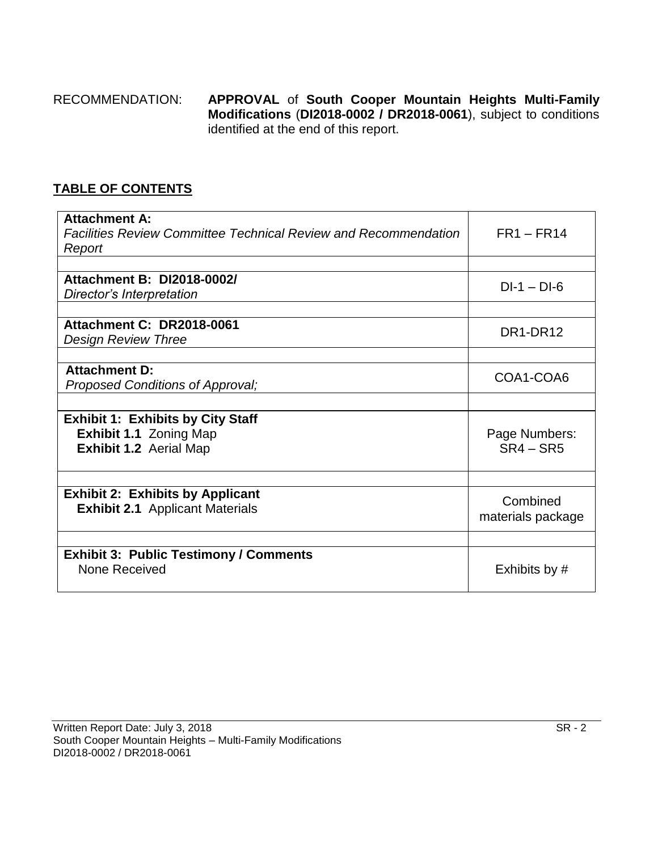## RECOMMENDATION: **APPROVAL** of **South Cooper Mountain Heights Multi-Family Modifications** (**DI2018-0002 / DR2018-0061**), subject to conditions identified at the end of this report.

## **TABLE OF CONTENTS**

| <b>Attachment A:</b><br><b>Facilities Review Committee Technical Review and Recommendation</b><br>Report | $FR1 - FR14$      |
|----------------------------------------------------------------------------------------------------------|-------------------|
|                                                                                                          |                   |
| <b>Attachment B: DI2018-0002/</b>                                                                        | $DI-1 - DI-6$     |
| Director's Interpretation                                                                                |                   |
|                                                                                                          |                   |
| <b>Attachment C: DR2018-0061</b>                                                                         | DR1-DR12          |
| <b>Design Review Three</b>                                                                               |                   |
|                                                                                                          |                   |
| <b>Attachment D:</b>                                                                                     | COA1-COA6         |
| Proposed Conditions of Approval;                                                                         |                   |
|                                                                                                          |                   |
| <b>Exhibit 1: Exhibits by City Staff</b>                                                                 |                   |
| <b>Exhibit 1.1 Zoning Map</b>                                                                            | Page Numbers:     |
| <b>Exhibit 1.2 Aerial Map</b>                                                                            | $SR4 - SR5$       |
|                                                                                                          |                   |
|                                                                                                          |                   |
| <b>Exhibit 2: Exhibits by Applicant</b>                                                                  | Combined          |
| <b>Exhibit 2.1</b> Applicant Materials                                                                   | materials package |
|                                                                                                          |                   |
|                                                                                                          |                   |
| <b>Exhibit 3: Public Testimony / Comments</b><br>None Received                                           | Exhibits by #     |
|                                                                                                          |                   |
|                                                                                                          |                   |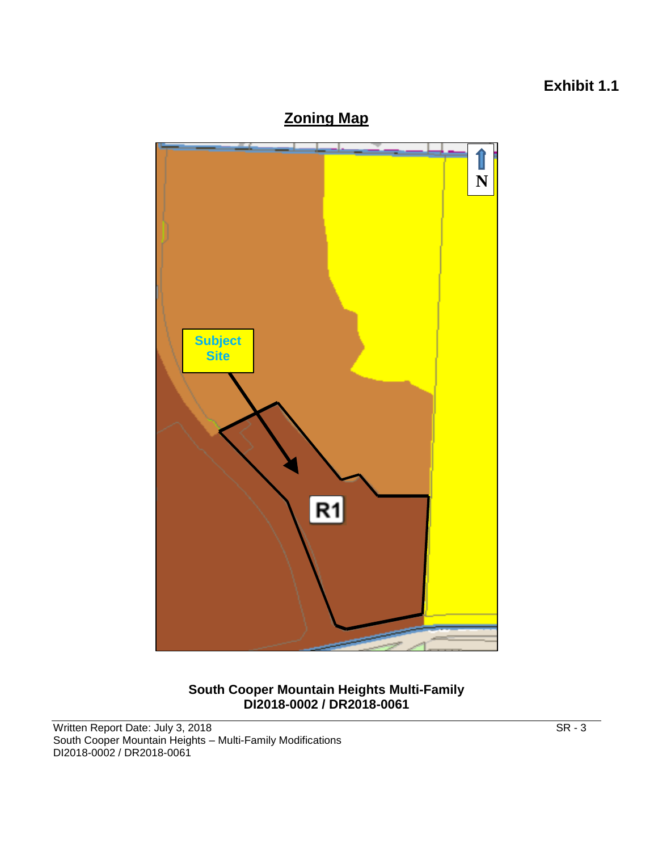# **Exhibit 1.1**





#### **South Cooper Mountain Heights Multi-Family DI2018-0002 / DR2018-0061**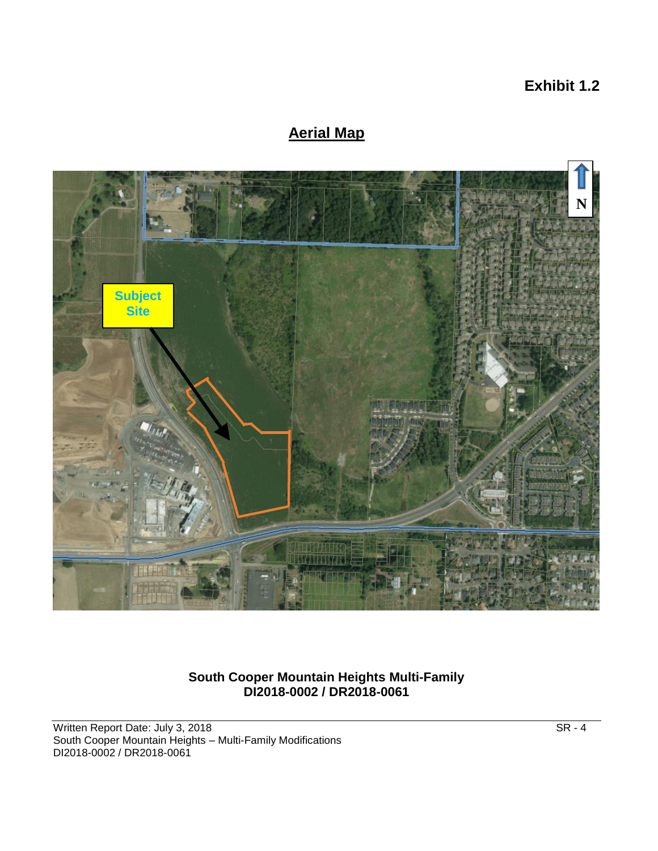# **Exhibit 1.2**

# **Aerial Map**



#### **South Cooper Mountain Heights Multi-Family DI2018-0002 / DR2018-0061**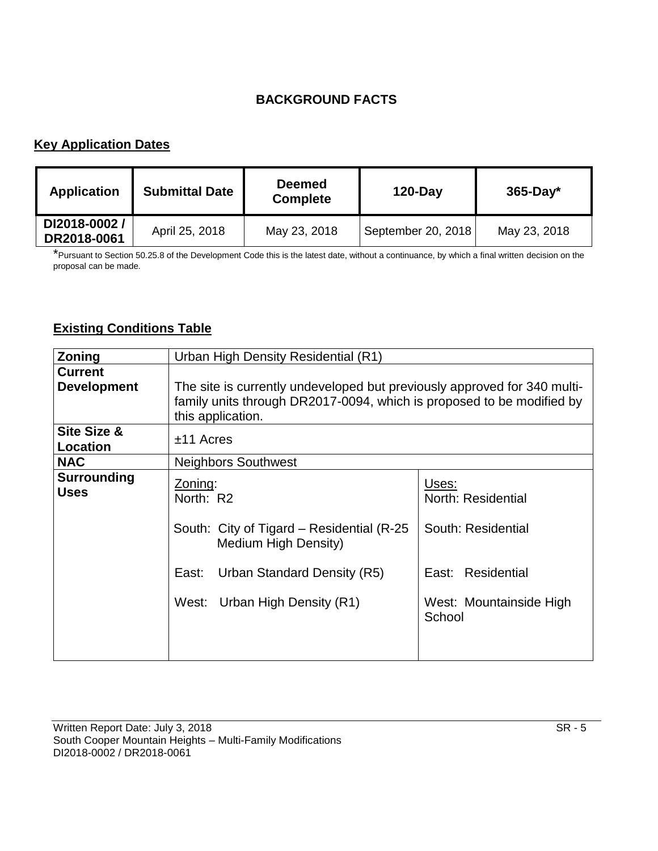# **BACKGROUND FACTS**

# **Key Application Dates**

| <b>Application</b>          | <b>Submittal Date</b> | <b>Deemed</b><br><b>Complete</b> | $120$ -Day         | $365$ -Day*  |
|-----------------------------|-----------------------|----------------------------------|--------------------|--------------|
| DI2018-0002/<br>DR2018-0061 | April 25, 2018        | May 23, 2018                     | September 20, 2018 | May 23, 2018 |

\*Pursuant to Section 50.25.8 of the Development Code this is the latest date, without a continuance, by which a final written decision on the proposal can be made.

# **Existing Conditions Table**

| Zoning                               | Urban High Density Residential (R1)                                                                                                                                    |                                                                                                             |  |
|--------------------------------------|------------------------------------------------------------------------------------------------------------------------------------------------------------------------|-------------------------------------------------------------------------------------------------------------|--|
| <b>Current</b><br><b>Development</b> | The site is currently undeveloped but previously approved for 340 multi-<br>family units through DR2017-0094, which is proposed to be modified by<br>this application. |                                                                                                             |  |
| Site Size &<br>Location              | $±11$ Acres                                                                                                                                                            |                                                                                                             |  |
| <b>NAC</b>                           | <b>Neighbors Southwest</b>                                                                                                                                             |                                                                                                             |  |
| <b>Surrounding</b><br><b>Uses</b>    | Zoning:<br>North: R2<br>South: City of Tigard – Residential (R-25)<br>Medium High Density)<br>Urban Standard Density (R5)<br>East:<br>West: Urban High Density (R1)    | Uses:<br>North: Residential<br>South: Residential<br>East: Residential<br>West: Mountainside High<br>School |  |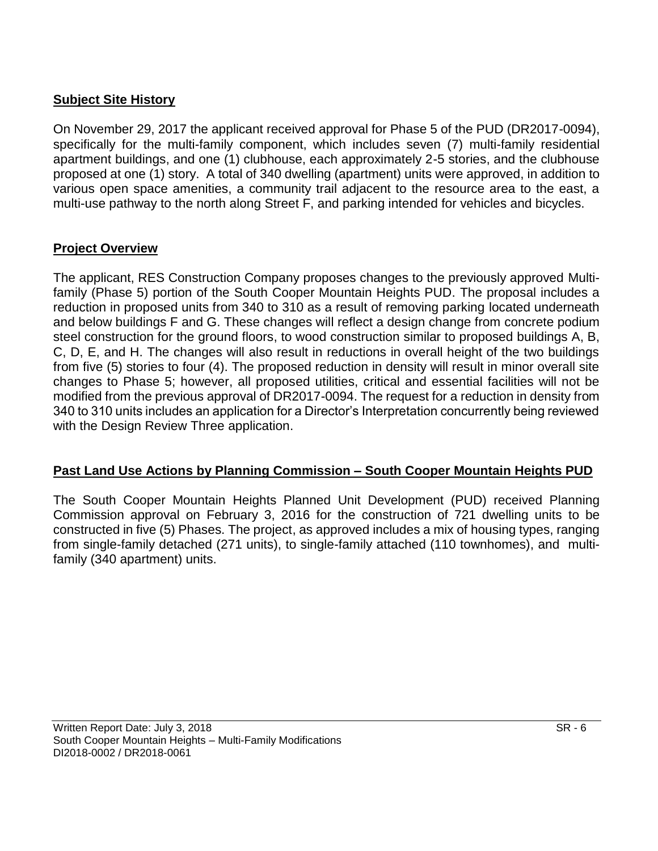## **Subject Site History**

On November 29, 2017 the applicant received approval for Phase 5 of the PUD (DR2017-0094), specifically for the multi-family component, which includes seven (7) multi-family residential apartment buildings, and one (1) clubhouse, each approximately 2-5 stories, and the clubhouse proposed at one (1) story. A total of 340 dwelling (apartment) units were approved, in addition to various open space amenities, a community trail adjacent to the resource area to the east, a multi-use pathway to the north along Street F, and parking intended for vehicles and bicycles.

## **Project Overview**

The applicant, RES Construction Company proposes changes to the previously approved Multifamily (Phase 5) portion of the South Cooper Mountain Heights PUD. The proposal includes a reduction in proposed units from 340 to 310 as a result of removing parking located underneath and below buildings F and G. These changes will reflect a design change from concrete podium steel construction for the ground floors, to wood construction similar to proposed buildings A, B, C, D, E, and H. The changes will also result in reductions in overall height of the two buildings from five (5) stories to four (4). The proposed reduction in density will result in minor overall site changes to Phase 5; however, all proposed utilities, critical and essential facilities will not be modified from the previous approval of DR2017-0094. The request for a reduction in density from 340 to 310 units includes an application for a Director's Interpretation concurrently being reviewed with the Design Review Three application.

## **Past Land Use Actions by Planning Commission – South Cooper Mountain Heights PUD**

The South Cooper Mountain Heights Planned Unit Development (PUD) received Planning Commission approval on February 3, 2016 for the construction of 721 dwelling units to be constructed in five (5) Phases. The project, as approved includes a mix of housing types, ranging from single-family detached (271 units), to single-family attached (110 townhomes), and multifamily (340 apartment) units.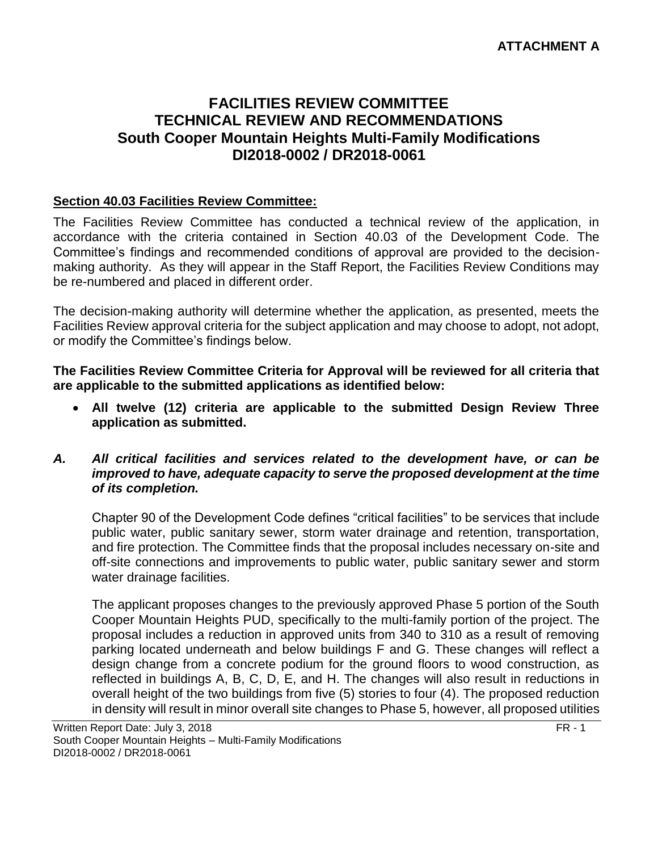## **ATTACHMENT A**

# **FACILITIES REVIEW COMMITTEE TECHNICAL REVIEW AND RECOMMENDATIONS South Cooper Mountain Heights Multi-Family Modifications DI2018-0002 / DR2018-0061**

#### **Section 40.03 Facilities Review Committee:**

The Facilities Review Committee has conducted a technical review of the application, in accordance with the criteria contained in Section 40.03 of the Development Code. The Committee's findings and recommended conditions of approval are provided to the decisionmaking authority. As they will appear in the Staff Report, the Facilities Review Conditions may be re-numbered and placed in different order.

The decision-making authority will determine whether the application, as presented, meets the Facilities Review approval criteria for the subject application and may choose to adopt, not adopt, or modify the Committee's findings below.

**The Facilities Review Committee Criteria for Approval will be reviewed for all criteria that are applicable to the submitted applications as identified below:**

 **All twelve (12) criteria are applicable to the submitted Design Review Three application as submitted.**

#### *A. All critical facilities and services related to the development have, or can be improved to have, adequate capacity to serve the proposed development at the time of its completion.*

Chapter 90 of the Development Code defines "critical facilities" to be services that include public water, public sanitary sewer, storm water drainage and retention, transportation, and fire protection. The Committee finds that the proposal includes necessary on-site and off-site connections and improvements to public water, public sanitary sewer and storm water drainage facilities.

The applicant proposes changes to the previously approved Phase 5 portion of the South Cooper Mountain Heights PUD, specifically to the multi-family portion of the project. The proposal includes a reduction in approved units from 340 to 310 as a result of removing parking located underneath and below buildings F and G. These changes will reflect a design change from a concrete podium for the ground floors to wood construction, as reflected in buildings A, B, C, D, E, and H. The changes will also result in reductions in overall height of the two buildings from five (5) stories to four (4). The proposed reduction in density will result in minor overall site changes to Phase 5, however, all proposed utilities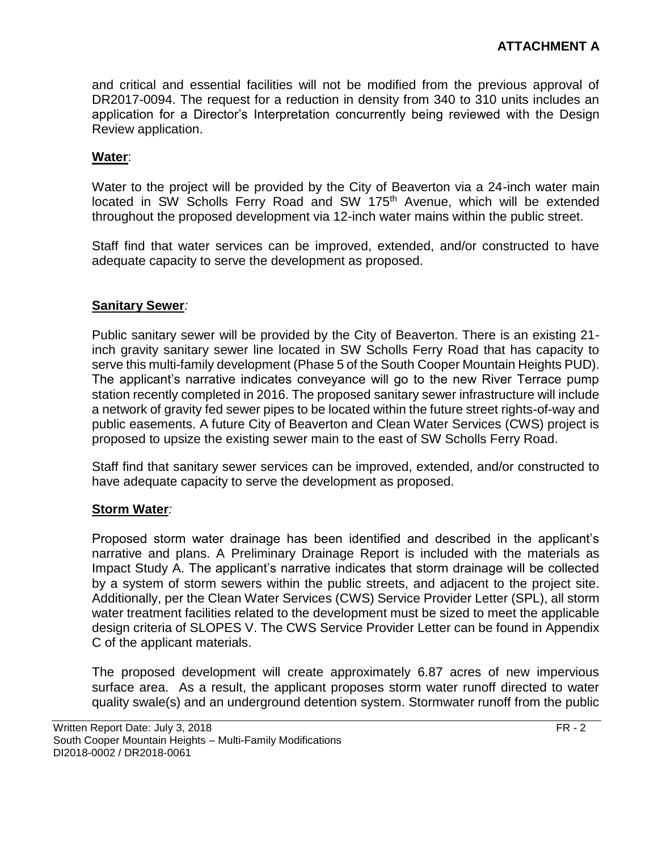and critical and essential facilities will not be modified from the previous approval of DR2017-0094. The request for a reduction in density from 340 to 310 units includes an application for a Director's Interpretation concurrently being reviewed with the Design Review application.

#### **Water**:

Water to the project will be provided by the City of Beaverton via a 24-inch water main located in SW Scholls Ferry Road and SW 175<sup>th</sup> Avenue, which will be extended throughout the proposed development via 12-inch water mains within the public street.

Staff find that water services can be improved, extended, and/or constructed to have adequate capacity to serve the development as proposed.

#### **Sanitary Sewer***:*

Public sanitary sewer will be provided by the City of Beaverton. There is an existing 21 inch gravity sanitary sewer line located in SW Scholls Ferry Road that has capacity to serve this multi-family development (Phase 5 of the South Cooper Mountain Heights PUD). The applicant's narrative indicates conveyance will go to the new River Terrace pump station recently completed in 2016. The proposed sanitary sewer infrastructure will include a network of gravity fed sewer pipes to be located within the future street rights-of-way and public easements. A future City of Beaverton and Clean Water Services (CWS) project is proposed to upsize the existing sewer main to the east of SW Scholls Ferry Road.

Staff find that sanitary sewer services can be improved, extended, and/or constructed to have adequate capacity to serve the development as proposed.

#### **Storm Water***:*

Proposed storm water drainage has been identified and described in the applicant's narrative and plans. A Preliminary Drainage Report is included with the materials as Impact Study A. The applicant's narrative indicates that storm drainage will be collected by a system of storm sewers within the public streets, and adjacent to the project site. Additionally, per the Clean Water Services (CWS) Service Provider Letter (SPL), all storm water treatment facilities related to the development must be sized to meet the applicable design criteria of SLOPES V. The CWS Service Provider Letter can be found in Appendix C of the applicant materials.

The proposed development will create approximately 6.87 acres of new impervious surface area. As a result, the applicant proposes storm water runoff directed to water quality swale(s) and an underground detention system. Stormwater runoff from the public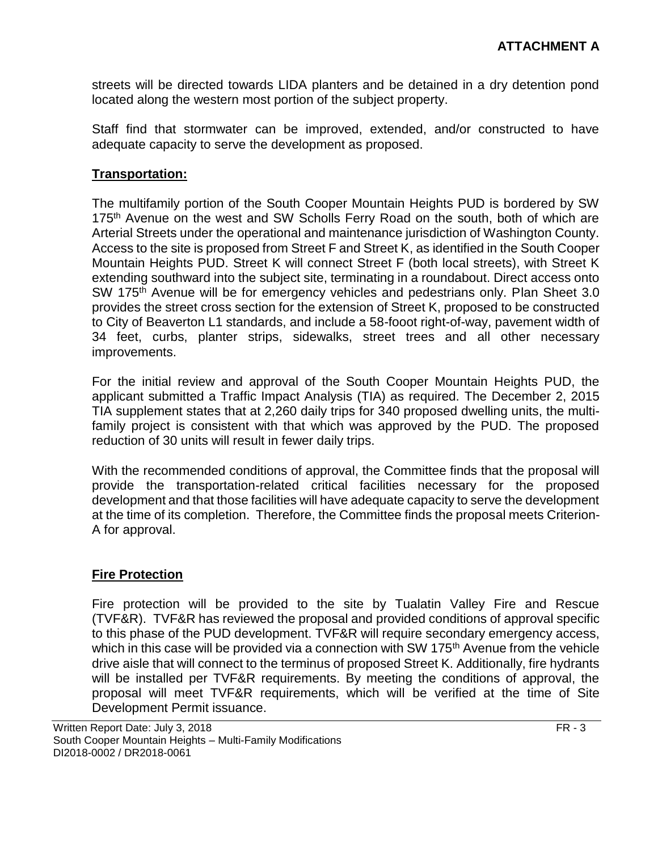streets will be directed towards LIDA planters and be detained in a dry detention pond located along the western most portion of the subject property.

Staff find that stormwater can be improved, extended, and/or constructed to have adequate capacity to serve the development as proposed.

## **Transportation:**

The multifamily portion of the South Cooper Mountain Heights PUD is bordered by SW 175<sup>th</sup> Avenue on the west and SW Scholls Ferry Road on the south, both of which are Arterial Streets under the operational and maintenance jurisdiction of Washington County. Access to the site is proposed from Street F and Street K, as identified in the South Cooper Mountain Heights PUD. Street K will connect Street F (both local streets), with Street K extending southward into the subject site, terminating in a roundabout. Direct access onto SW 175<sup>th</sup> Avenue will be for emergency vehicles and pedestrians only. Plan Sheet 3.0 provides the street cross section for the extension of Street K, proposed to be constructed to City of Beaverton L1 standards, and include a 58-fooot right-of-way, pavement width of 34 feet, curbs, planter strips, sidewalks, street trees and all other necessary improvements.

For the initial review and approval of the South Cooper Mountain Heights PUD, the applicant submitted a Traffic Impact Analysis (TIA) as required. The December 2, 2015 TIA supplement states that at 2,260 daily trips for 340 proposed dwelling units, the multifamily project is consistent with that which was approved by the PUD. The proposed reduction of 30 units will result in fewer daily trips.

With the recommended conditions of approval, the Committee finds that the proposal will provide the transportation-related critical facilities necessary for the proposed development and that those facilities will have adequate capacity to serve the development at the time of its completion. Therefore, the Committee finds the proposal meets Criterion-A for approval.

#### **Fire Protection**

Fire protection will be provided to the site by Tualatin Valley Fire and Rescue (TVF&R). TVF&R has reviewed the proposal and provided conditions of approval specific to this phase of the PUD development. TVF&R will require secondary emergency access, which in this case will be provided via a connection with SW 175<sup>th</sup> Avenue from the vehicle drive aisle that will connect to the terminus of proposed Street K. Additionally, fire hydrants will be installed per TVF&R requirements. By meeting the conditions of approval, the proposal will meet TVF&R requirements, which will be verified at the time of Site Development Permit issuance.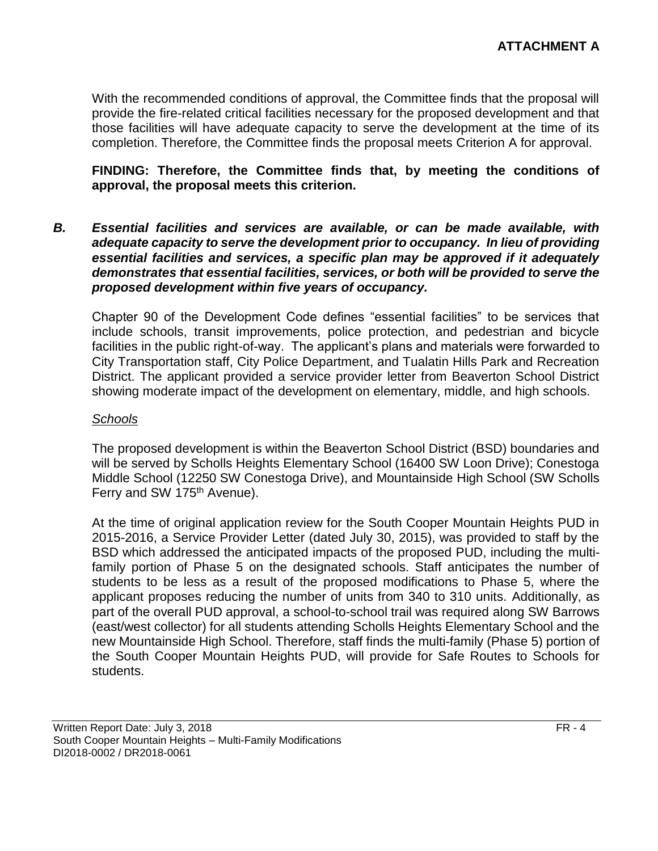With the recommended conditions of approval, the Committee finds that the proposal will provide the fire-related critical facilities necessary for the proposed development and that those facilities will have adequate capacity to serve the development at the time of its completion. Therefore, the Committee finds the proposal meets Criterion A for approval.

#### **FINDING: Therefore, the Committee finds that, by meeting the conditions of approval, the proposal meets this criterion.**

*B. Essential facilities and services are available, or can be made available, with adequate capacity to serve the development prior to occupancy. In lieu of providing essential facilities and services, a specific plan may be approved if it adequately demonstrates that essential facilities, services, or both will be provided to serve the proposed development within five years of occupancy.*

Chapter 90 of the Development Code defines "essential facilities" to be services that include schools, transit improvements, police protection, and pedestrian and bicycle facilities in the public right-of-way. The applicant's plans and materials were forwarded to City Transportation staff, City Police Department, and Tualatin Hills Park and Recreation District. The applicant provided a service provider letter from Beaverton School District showing moderate impact of the development on elementary, middle, and high schools.

#### *Schools*

The proposed development is within the Beaverton School District (BSD) boundaries and will be served by Scholls Heights Elementary School (16400 SW Loon Drive); Conestoga Middle School (12250 SW Conestoga Drive), and Mountainside High School (SW Scholls Ferry and SW 175<sup>th</sup> Avenue).

At the time of original application review for the South Cooper Mountain Heights PUD in 2015-2016, a Service Provider Letter (dated July 30, 2015), was provided to staff by the BSD which addressed the anticipated impacts of the proposed PUD, including the multifamily portion of Phase 5 on the designated schools. Staff anticipates the number of students to be less as a result of the proposed modifications to Phase 5, where the applicant proposes reducing the number of units from 340 to 310 units. Additionally, as part of the overall PUD approval, a school-to-school trail was required along SW Barrows (east/west collector) for all students attending Scholls Heights Elementary School and the new Mountainside High School. Therefore, staff finds the multi-family (Phase 5) portion of the South Cooper Mountain Heights PUD, will provide for Safe Routes to Schools for students.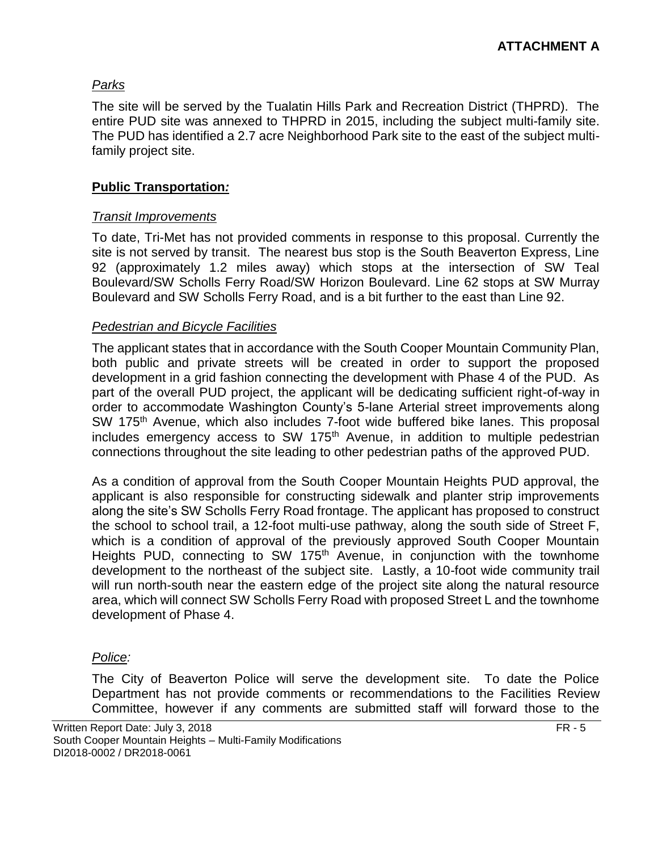## *Parks*

The site will be served by the Tualatin Hills Park and Recreation District (THPRD). The entire PUD site was annexed to THPRD in 2015, including the subject multi-family site. The PUD has identified a 2.7 acre Neighborhood Park site to the east of the subject multifamily project site.

## **Public Transportation***:*

## *Transit Improvements*

To date, Tri-Met has not provided comments in response to this proposal. Currently the site is not served by transit. The nearest bus stop is the South Beaverton Express, Line 92 (approximately 1.2 miles away) which stops at the intersection of SW Teal Boulevard/SW Scholls Ferry Road/SW Horizon Boulevard. Line 62 stops at SW Murray Boulevard and SW Scholls Ferry Road, and is a bit further to the east than Line 92.

## *Pedestrian and Bicycle Facilities*

The applicant states that in accordance with the South Cooper Mountain Community Plan, both public and private streets will be created in order to support the proposed development in a grid fashion connecting the development with Phase 4 of the PUD. As part of the overall PUD project, the applicant will be dedicating sufficient right-of-way in order to accommodate Washington County's 5-lane Arterial street improvements along SW 175<sup>th</sup> Avenue, which also includes 7-foot wide buffered bike lanes. This proposal includes emergency access to SW 175<sup>th</sup> Avenue, in addition to multiple pedestrian connections throughout the site leading to other pedestrian paths of the approved PUD.

As a condition of approval from the South Cooper Mountain Heights PUD approval, the applicant is also responsible for constructing sidewalk and planter strip improvements along the site's SW Scholls Ferry Road frontage. The applicant has proposed to construct the school to school trail, a 12-foot multi-use pathway, along the south side of Street F, which is a condition of approval of the previously approved South Cooper Mountain Heights PUD, connecting to SW 175<sup>th</sup> Avenue, in conjunction with the townhome development to the northeast of the subject site. Lastly, a 10-foot wide community trail will run north-south near the eastern edge of the project site along the natural resource area, which will connect SW Scholls Ferry Road with proposed Street L and the townhome development of Phase 4.

## *Police:*

The City of Beaverton Police will serve the development site. To date the Police Department has not provide comments or recommendations to the Facilities Review Committee, however if any comments are submitted staff will forward those to the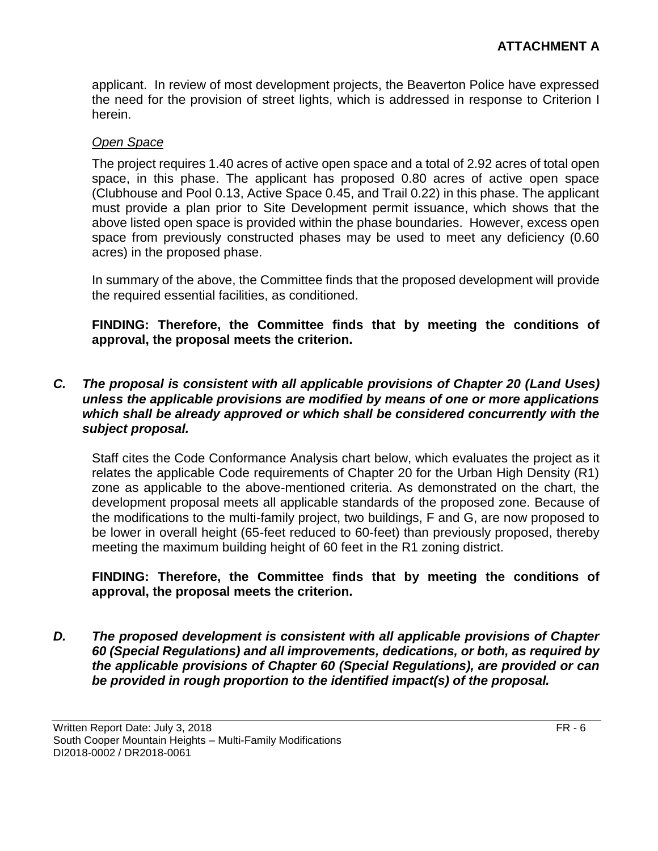applicant. In review of most development projects, the Beaverton Police have expressed the need for the provision of street lights, which is addressed in response to Criterion I herein.

#### *Open Space*

The project requires 1.40 acres of active open space and a total of 2.92 acres of total open space, in this phase. The applicant has proposed 0.80 acres of active open space (Clubhouse and Pool 0.13, Active Space 0.45, and Trail 0.22) in this phase. The applicant must provide a plan prior to Site Development permit issuance, which shows that the above listed open space is provided within the phase boundaries. However, excess open space from previously constructed phases may be used to meet any deficiency (0.60 acres) in the proposed phase.

In summary of the above, the Committee finds that the proposed development will provide the required essential facilities, as conditioned.

**FINDING: Therefore, the Committee finds that by meeting the conditions of approval, the proposal meets the criterion.** 

#### *C. The proposal is consistent with all applicable provisions of Chapter 20 (Land Uses) unless the applicable provisions are modified by means of one or more applications which shall be already approved or which shall be considered concurrently with the subject proposal.*

Staff cites the Code Conformance Analysis chart below, which evaluates the project as it relates the applicable Code requirements of Chapter 20 for the Urban High Density (R1) zone as applicable to the above-mentioned criteria. As demonstrated on the chart, the development proposal meets all applicable standards of the proposed zone. Because of the modifications to the multi-family project, two buildings, F and G, are now proposed to be lower in overall height (65-feet reduced to 60-feet) than previously proposed, thereby meeting the maximum building height of 60 feet in the R1 zoning district.

#### **FINDING: Therefore, the Committee finds that by meeting the conditions of approval, the proposal meets the criterion.**

*D. The proposed development is consistent with all applicable provisions of Chapter 60 (Special Regulations) and all improvements, dedications, or both, as required by the applicable provisions of Chapter 60 (Special Regulations), are provided or can be provided in rough proportion to the identified impact(s) of the proposal.*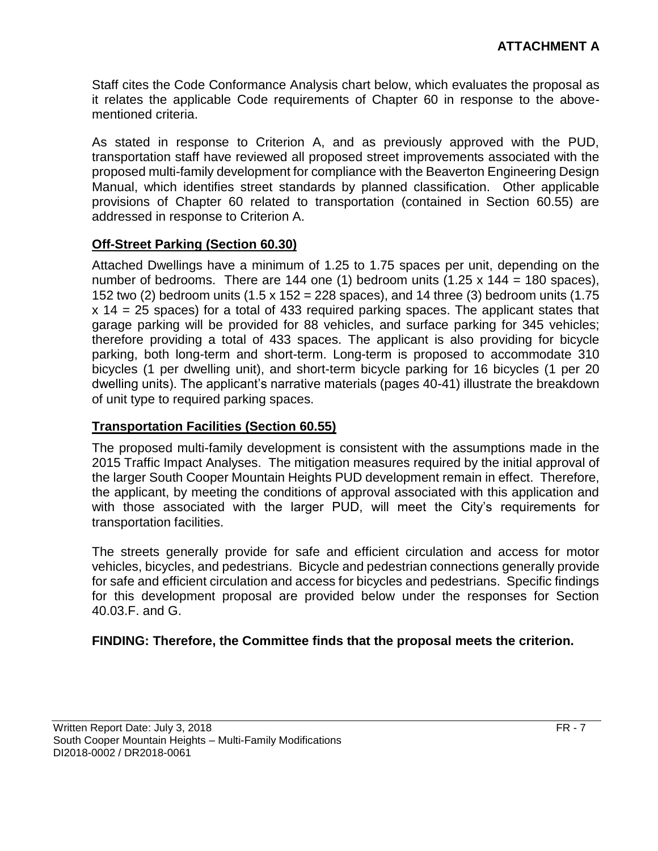Staff cites the Code Conformance Analysis chart below, which evaluates the proposal as it relates the applicable Code requirements of Chapter 60 in response to the abovementioned criteria.

As stated in response to Criterion A, and as previously approved with the PUD, transportation staff have reviewed all proposed street improvements associated with the proposed multi-family development for compliance with the Beaverton Engineering Design Manual, which identifies street standards by planned classification. Other applicable provisions of Chapter 60 related to transportation (contained in Section 60.55) are addressed in response to Criterion A.

## **Off-Street Parking (Section 60.30)**

Attached Dwellings have a minimum of 1.25 to 1.75 spaces per unit, depending on the number of bedrooms. There are 144 one (1) bedroom units  $(1.25 \times 144 = 180 \text{ spaces})$ . 152 two (2) bedroom units (1.5 x 152 = 228 spaces), and 14 three (3) bedroom units (1.75 x 14 = 25 spaces) for a total of 433 required parking spaces. The applicant states that garage parking will be provided for 88 vehicles, and surface parking for 345 vehicles; therefore providing a total of 433 spaces. The applicant is also providing for bicycle parking, both long-term and short-term. Long-term is proposed to accommodate 310 bicycles (1 per dwelling unit), and short-term bicycle parking for 16 bicycles (1 per 20 dwelling units). The applicant's narrative materials (pages 40-41) illustrate the breakdown of unit type to required parking spaces.

#### **Transportation Facilities (Section 60.55)**

The proposed multi-family development is consistent with the assumptions made in the 2015 Traffic Impact Analyses. The mitigation measures required by the initial approval of the larger South Cooper Mountain Heights PUD development remain in effect. Therefore, the applicant, by meeting the conditions of approval associated with this application and with those associated with the larger PUD, will meet the City's requirements for transportation facilities.

The streets generally provide for safe and efficient circulation and access for motor vehicles, bicycles, and pedestrians. Bicycle and pedestrian connections generally provide for safe and efficient circulation and access for bicycles and pedestrians. Specific findings for this development proposal are provided below under the responses for Section 40.03.F. and G.

#### **FINDING: Therefore, the Committee finds that the proposal meets the criterion.**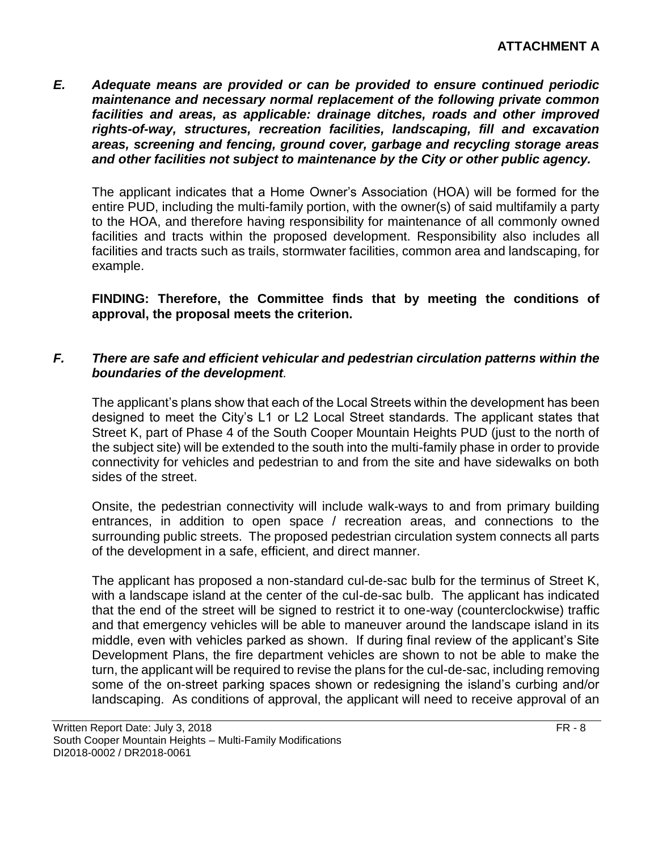*E. Adequate means are provided or can be provided to ensure continued periodic maintenance and necessary normal replacement of the following private common facilities and areas, as applicable: drainage ditches, roads and other improved rights-of-way, structures, recreation facilities, landscaping, fill and excavation areas, screening and fencing, ground cover, garbage and recycling storage areas and other facilities not subject to maintenance by the City or other public agency.*

The applicant indicates that a Home Owner's Association (HOA) will be formed for the entire PUD, including the multi-family portion, with the owner(s) of said multifamily a party to the HOA, and therefore having responsibility for maintenance of all commonly owned facilities and tracts within the proposed development. Responsibility also includes all facilities and tracts such as trails, stormwater facilities, common area and landscaping, for example.

**FINDING: Therefore, the Committee finds that by meeting the conditions of approval, the proposal meets the criterion.** 

## *F. There are safe and efficient vehicular and pedestrian circulation patterns within the boundaries of the development.*

The applicant's plans show that each of the Local Streets within the development has been designed to meet the City's L1 or L2 Local Street standards. The applicant states that Street K, part of Phase 4 of the South Cooper Mountain Heights PUD (just to the north of the subject site) will be extended to the south into the multi-family phase in order to provide connectivity for vehicles and pedestrian to and from the site and have sidewalks on both sides of the street.

Onsite, the pedestrian connectivity will include walk-ways to and from primary building entrances, in addition to open space / recreation areas, and connections to the surrounding public streets. The proposed pedestrian circulation system connects all parts of the development in a safe, efficient, and direct manner.

The applicant has proposed a non-standard cul-de-sac bulb for the terminus of Street K, with a landscape island at the center of the cul-de-sac bulb. The applicant has indicated that the end of the street will be signed to restrict it to one-way (counterclockwise) traffic and that emergency vehicles will be able to maneuver around the landscape island in its middle, even with vehicles parked as shown. If during final review of the applicant's Site Development Plans, the fire department vehicles are shown to not be able to make the turn, the applicant will be required to revise the plans for the cul-de-sac, including removing some of the on-street parking spaces shown or redesigning the island's curbing and/or landscaping. As conditions of approval, the applicant will need to receive approval of an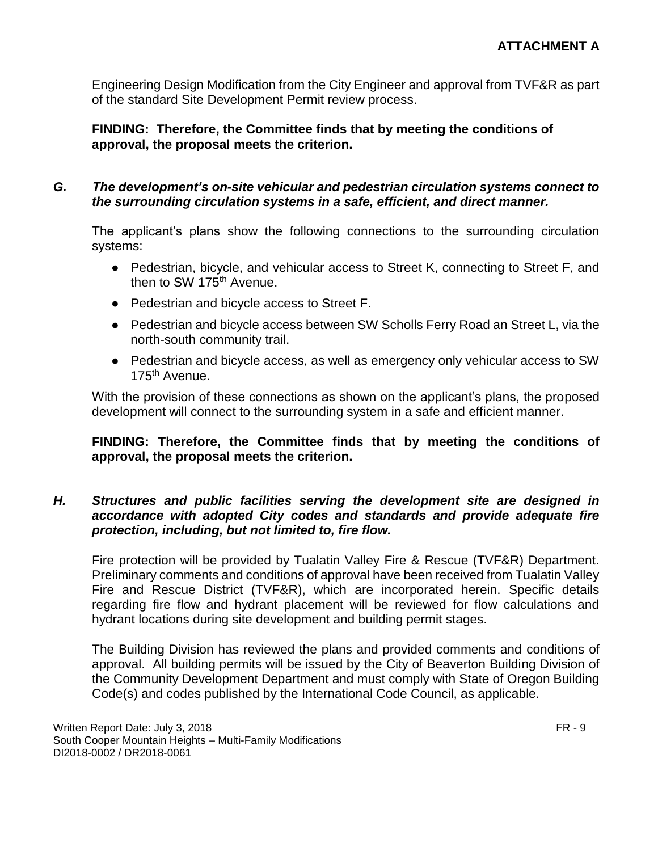Engineering Design Modification from the City Engineer and approval from TVF&R as part of the standard Site Development Permit review process.

## **FINDING: Therefore, the Committee finds that by meeting the conditions of approval, the proposal meets the criterion.**

## *G. The development's on-site vehicular and pedestrian circulation systems connect to the surrounding circulation systems in a safe, efficient, and direct manner.*

The applicant's plans show the following connections to the surrounding circulation systems:

- Pedestrian, bicycle, and vehicular access to Street K, connecting to Street F, and then to SW 175<sup>th</sup> Avenue.
- Pedestrian and bicycle access to Street F.
- Pedestrian and bicycle access between SW Scholls Ferry Road an Street L, via the north-south community trail.
- Pedestrian and bicycle access, as well as emergency only vehicular access to SW 175th Avenue.

With the provision of these connections as shown on the applicant's plans, the proposed development will connect to the surrounding system in a safe and efficient manner.

## **FINDING: Therefore, the Committee finds that by meeting the conditions of approval, the proposal meets the criterion.**

## *H. Structures and public facilities serving the development site are designed in accordance with adopted City codes and standards and provide adequate fire protection, including, but not limited to, fire flow.*

Fire protection will be provided by Tualatin Valley Fire & Rescue (TVF&R) Department. Preliminary comments and conditions of approval have been received from Tualatin Valley Fire and Rescue District (TVF&R), which are incorporated herein. Specific details regarding fire flow and hydrant placement will be reviewed for flow calculations and hydrant locations during site development and building permit stages.

The Building Division has reviewed the plans and provided comments and conditions of approval. All building permits will be issued by the City of Beaverton Building Division of the Community Development Department and must comply with State of Oregon Building Code(s) and codes published by the International Code Council, as applicable.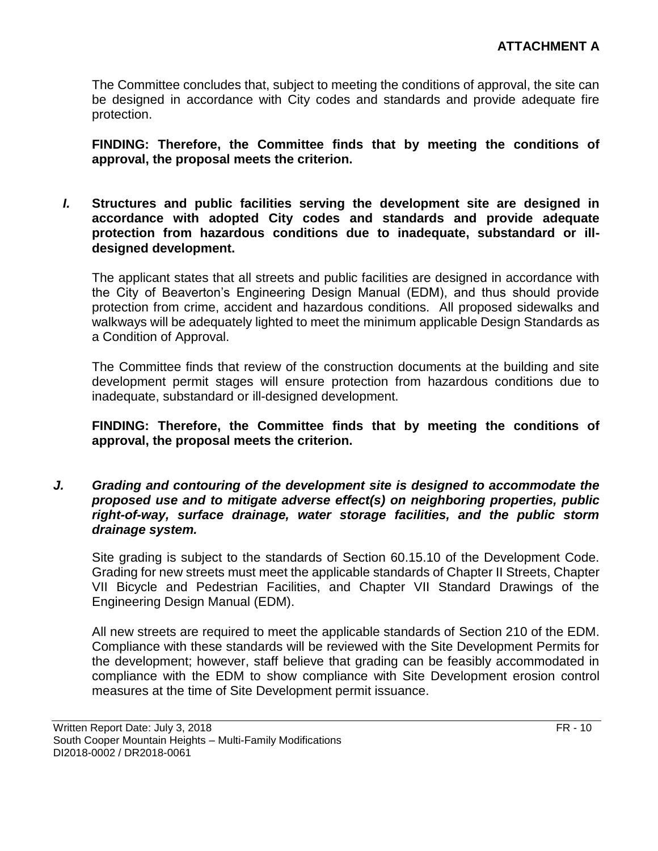The Committee concludes that, subject to meeting the conditions of approval, the site can be designed in accordance with City codes and standards and provide adequate fire protection.

**FINDING: Therefore, the Committee finds that by meeting the conditions of approval, the proposal meets the criterion.** 

*I.* **Structures and public facilities serving the development site are designed in accordance with adopted City codes and standards and provide adequate protection from hazardous conditions due to inadequate, substandard or illdesigned development.**

The applicant states that all streets and public facilities are designed in accordance with the City of Beaverton's Engineering Design Manual (EDM), and thus should provide protection from crime, accident and hazardous conditions. All proposed sidewalks and walkways will be adequately lighted to meet the minimum applicable Design Standards as a Condition of Approval.

The Committee finds that review of the construction documents at the building and site development permit stages will ensure protection from hazardous conditions due to inadequate, substandard or ill-designed development.

**FINDING: Therefore, the Committee finds that by meeting the conditions of approval, the proposal meets the criterion.** 

*J. Grading and contouring of the development site is designed to accommodate the proposed use and to mitigate adverse effect(s) on neighboring properties, public right-of-way, surface drainage, water storage facilities, and the public storm drainage system.*

Site grading is subject to the standards of Section 60.15.10 of the Development Code. Grading for new streets must meet the applicable standards of Chapter II Streets, Chapter VII Bicycle and Pedestrian Facilities, and Chapter VII Standard Drawings of the Engineering Design Manual (EDM).

All new streets are required to meet the applicable standards of Section 210 of the EDM. Compliance with these standards will be reviewed with the Site Development Permits for the development; however, staff believe that grading can be feasibly accommodated in compliance with the EDM to show compliance with Site Development erosion control measures at the time of Site Development permit issuance.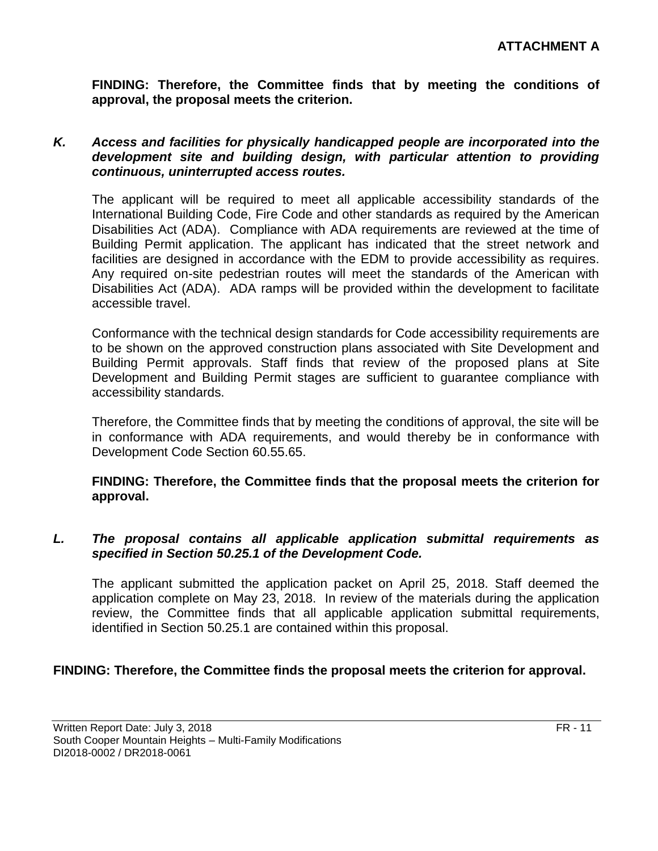**FINDING: Therefore, the Committee finds that by meeting the conditions of approval, the proposal meets the criterion.** 

#### *K. Access and facilities for physically handicapped people are incorporated into the development site and building design, with particular attention to providing continuous, uninterrupted access routes.*

The applicant will be required to meet all applicable accessibility standards of the International Building Code, Fire Code and other standards as required by the American Disabilities Act (ADA). Compliance with ADA requirements are reviewed at the time of Building Permit application. The applicant has indicated that the street network and facilities are designed in accordance with the EDM to provide accessibility as requires. Any required on-site pedestrian routes will meet the standards of the American with Disabilities Act (ADA). ADA ramps will be provided within the development to facilitate accessible travel.

Conformance with the technical design standards for Code accessibility requirements are to be shown on the approved construction plans associated with Site Development and Building Permit approvals. Staff finds that review of the proposed plans at Site Development and Building Permit stages are sufficient to guarantee compliance with accessibility standards.

Therefore, the Committee finds that by meeting the conditions of approval, the site will be in conformance with ADA requirements, and would thereby be in conformance with Development Code Section 60.55.65.

#### **FINDING: Therefore, the Committee finds that the proposal meets the criterion for approval.**

## *L. The proposal contains all applicable application submittal requirements as specified in Section 50.25.1 of the Development Code.*

The applicant submitted the application packet on April 25, 2018. Staff deemed the application complete on May 23, 2018. In review of the materials during the application review, the Committee finds that all applicable application submittal requirements, identified in Section 50.25.1 are contained within this proposal.

## **FINDING: Therefore, the Committee finds the proposal meets the criterion for approval.**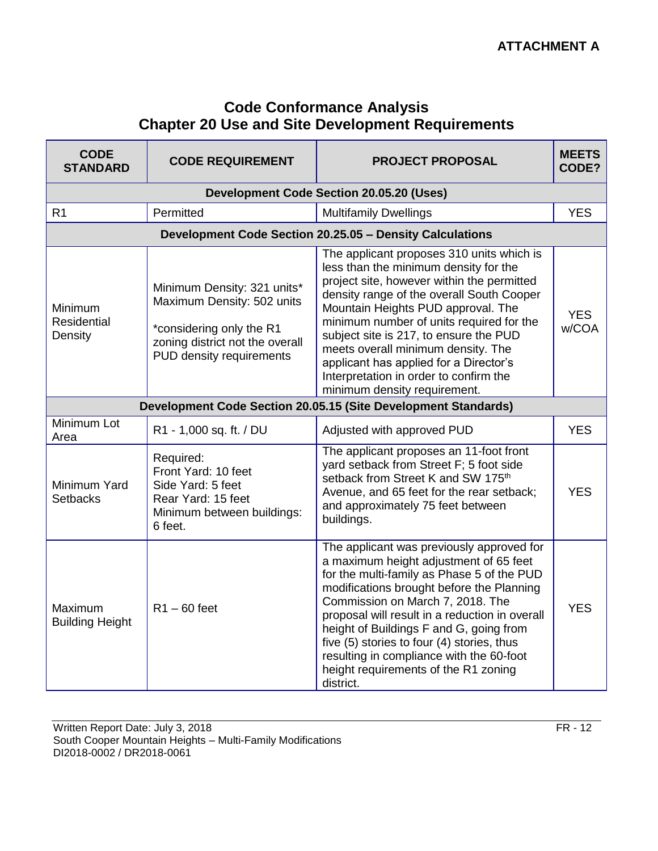# **Code Conformance Analysis Chapter 20 Use and Site Development Requirements**

| <b>CODE</b><br><b>STANDARD</b>    | <b>CODE REQUIREMENT</b>                                                                                                                              | <b>PROJECT PROPOSAL</b>                                                                                                                                                                                                                                                                                                                                                                                                                                             | <b>MEETS</b><br>CODE? |
|-----------------------------------|------------------------------------------------------------------------------------------------------------------------------------------------------|---------------------------------------------------------------------------------------------------------------------------------------------------------------------------------------------------------------------------------------------------------------------------------------------------------------------------------------------------------------------------------------------------------------------------------------------------------------------|-----------------------|
|                                   |                                                                                                                                                      | <b>Development Code Section 20.05.20 (Uses)</b>                                                                                                                                                                                                                                                                                                                                                                                                                     |                       |
| R <sub>1</sub>                    | Permitted                                                                                                                                            | <b>Multifamily Dwellings</b>                                                                                                                                                                                                                                                                                                                                                                                                                                        | <b>YES</b>            |
|                                   |                                                                                                                                                      | Development Code Section 20.25.05 - Density Calculations                                                                                                                                                                                                                                                                                                                                                                                                            |                       |
| Minimum<br>Residential<br>Density | Minimum Density: 321 units*<br>Maximum Density: 502 units<br>*considering only the R1<br>zoning district not the overall<br>PUD density requirements | The applicant proposes 310 units which is<br>less than the minimum density for the<br>project site, however within the permitted<br>density range of the overall South Cooper<br>Mountain Heights PUD approval. The<br>minimum number of units required for the<br>subject site is 217, to ensure the PUD<br>meets overall minimum density. The<br>applicant has applied for a Director's<br>Interpretation in order to confirm the<br>minimum density requirement. | <b>YES</b><br>w/COA   |
|                                   |                                                                                                                                                      | Development Code Section 20.05.15 (Site Development Standards)                                                                                                                                                                                                                                                                                                                                                                                                      |                       |
| Minimum Lot<br>Area               | R1 - 1,000 sq. ft. / DU                                                                                                                              | Adjusted with approved PUD                                                                                                                                                                                                                                                                                                                                                                                                                                          | <b>YES</b>            |
| Minimum Yard<br><b>Setbacks</b>   | Required:<br>Front Yard: 10 feet<br>Side Yard: 5 feet<br>Rear Yard: 15 feet<br>Minimum between buildings:<br>6 feet.                                 | The applicant proposes an 11-foot front<br>yard setback from Street F; 5 foot side<br>setback from Street K and SW 175 <sup>th</sup><br>Avenue, and 65 feet for the rear setback;<br>and approximately 75 feet between<br>buildings.                                                                                                                                                                                                                                | <b>YES</b>            |
| Maximum<br><b>Building Height</b> | $R1 - 60$ feet                                                                                                                                       | The applicant was previously approved for<br>a maximum height adjustment of 65 feet<br>for the multi-family as Phase 5 of the PUD<br>modifications brought before the Planning<br>Commission on March 7, 2018. The<br>proposal will result in a reduction in overall<br>height of Buildings F and G, going from<br>five (5) stories to four (4) stories, thus<br>resulting in compliance with the 60-foot<br>height requirements of the R1 zoning<br>district.      | <b>YES</b>            |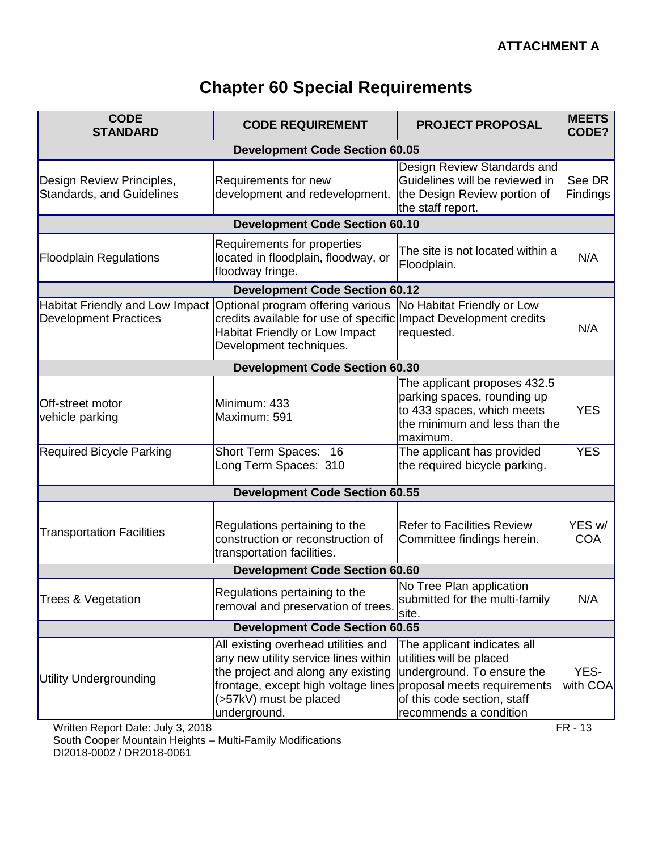# **Chapter 60 Special Requirements**

| <b>CODE</b><br><b>STANDARD</b>                                         | <b>CODE REQUIREMENT</b>                                                                                                                                                                                                        | <b>PROJECT PROPOSAL</b>                                                                                                                        | <b>MEETS</b><br>CODE?            |
|------------------------------------------------------------------------|--------------------------------------------------------------------------------------------------------------------------------------------------------------------------------------------------------------------------------|------------------------------------------------------------------------------------------------------------------------------------------------|----------------------------------|
|                                                                        | <b>Development Code Section 60.05</b>                                                                                                                                                                                          |                                                                                                                                                |                                  |
| Design Review Principles,<br><b>Standards, and Guidelines</b>          | Requirements for new<br>development and redevelopment.                                                                                                                                                                         | Design Review Standards and<br>Guidelines will be reviewed in<br>the Design Review portion of<br>the staff report.                             | See DR<br>Findings               |
|                                                                        | <b>Development Code Section 60.10</b>                                                                                                                                                                                          |                                                                                                                                                |                                  |
| <b>Floodplain Regulations</b>                                          | Requirements for properties<br>located in floodplain, floodway, or<br>floodway fringe.                                                                                                                                         | The site is not located within a<br>Floodplain.                                                                                                | N/A                              |
|                                                                        | <b>Development Code Section 60.12</b>                                                                                                                                                                                          |                                                                                                                                                |                                  |
| Habitat Friendly and Low Impact<br><b>Development Practices</b>        | Optional program offering various<br>credits available for use of specific Impact Development credits<br><b>Habitat Friendly or Low Impact</b><br>Development techniques.                                                      | No Habitat Friendly or Low<br>requested.                                                                                                       | N/A                              |
|                                                                        | <b>Development Code Section 60.30</b>                                                                                                                                                                                          |                                                                                                                                                |                                  |
| Off-street motor<br>vehicle parking                                    | Minimum: 433<br>Maximum: 591                                                                                                                                                                                                   | The applicant proposes 432.5<br>parking spaces, rounding up<br>to 433 spaces, which meets<br>the minimum and less than the<br>maximum.         | <b>YES</b>                       |
| <b>Required Bicycle Parking</b>                                        | Short Term Spaces: 16<br>Long Term Spaces: 310                                                                                                                                                                                 | The applicant has provided<br>the required bicycle parking.                                                                                    | <b>YES</b>                       |
|                                                                        | <b>Development Code Section 60.55</b>                                                                                                                                                                                          |                                                                                                                                                |                                  |
| <b>Transportation Facilities</b>                                       | Regulations pertaining to the<br>construction or reconstruction of<br>transportation facilities.                                                                                                                               | <b>Refer to Facilities Review</b><br>Committee findings herein.                                                                                | YES w/<br><b>COA</b>             |
|                                                                        | <b>Development Code Section 60.60</b>                                                                                                                                                                                          |                                                                                                                                                |                                  |
| <b>Trees &amp; Vegetation</b>                                          | Regulations pertaining to the<br>removal and preservation of trees.                                                                                                                                                            | No Tree Plan application<br>submitted for the multi-family<br>site.                                                                            | N/A                              |
|                                                                        | <b>Development Code Section 60.65</b>                                                                                                                                                                                          |                                                                                                                                                |                                  |
| <b>Utility Undergrounding</b><br>$Mritton$ Donort Dota: $lub12$ , 2010 | All existing overhead utilities and<br>any new utility service lines within<br>the project and along any existing<br>frontage, except high voltage lines proposal meets requirements<br>(>57kV) must be placed<br>underground. | The applicant indicates all<br>utilities will be placed<br>underground. To ensure the<br>of this code section, staff<br>recommends a condition | YES-<br>with COA<br><b>CD 42</b> |

Written Report Date: July 3, 2018 FR - 13 South Cooper Mountain Heights – Multi-Family Modifications DI2018-0002 / DR2018-0061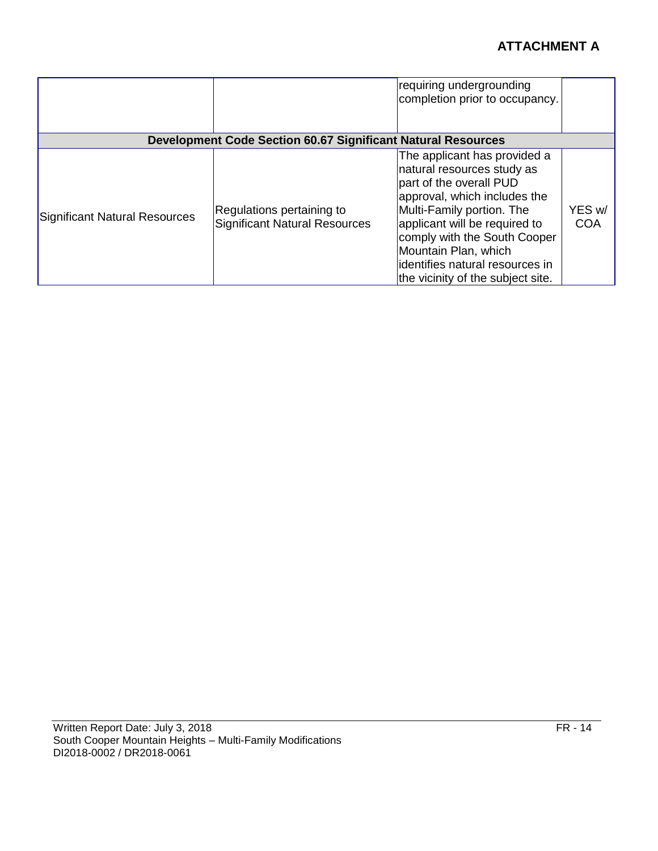|                               |                                                                     | requiring undergrounding<br>completion prior to occupancy.                                                                                                                                                                                                                                                           |                      |
|-------------------------------|---------------------------------------------------------------------|----------------------------------------------------------------------------------------------------------------------------------------------------------------------------------------------------------------------------------------------------------------------------------------------------------------------|----------------------|
|                               | <b>Development Code Section 60.67 Significant Natural Resources</b> |                                                                                                                                                                                                                                                                                                                      |                      |
| Significant Natural Resources | Regulations pertaining to<br><b>Significant Natural Resources</b>   | The applicant has provided a<br>natural resources study as<br>part of the overall PUD<br>approval, which includes the<br>Multi-Family portion. The<br>applicant will be required to<br>comply with the South Cooper<br>Mountain Plan, which<br>lidentifies natural resources in<br>the vicinity of the subject site. | YES w/<br><b>COA</b> |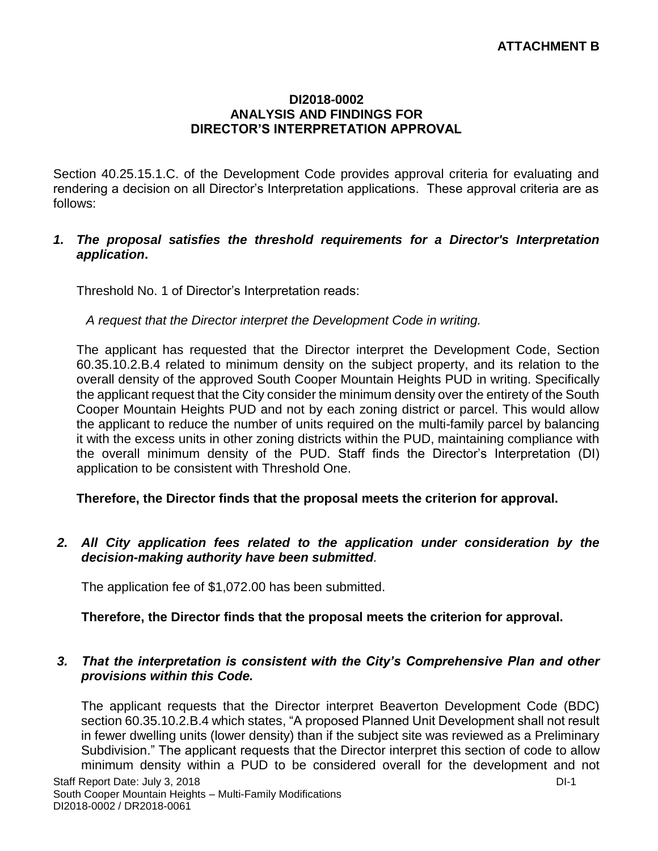#### **DI2018-0002 ANALYSIS AND FINDINGS FOR DIRECTOR'S INTERPRETATION APPROVAL**

Section 40.25.15.1.C. of the Development Code provides approval criteria for evaluating and rendering a decision on all Director's Interpretation applications. These approval criteria are as follows:

#### *1. The proposal satisfies the threshold requirements for a Director's Interpretation application***.**

Threshold No. 1 of Director's Interpretation reads:

*A request that the Director interpret the Development Code in writing.*

The applicant has requested that the Director interpret the Development Code, Section 60.35.10.2.B.4 related to minimum density on the subject property, and its relation to the overall density of the approved South Cooper Mountain Heights PUD in writing. Specifically the applicant request that the City consider the minimum density over the entirety of the South Cooper Mountain Heights PUD and not by each zoning district or parcel. This would allow the applicant to reduce the number of units required on the multi-family parcel by balancing it with the excess units in other zoning districts within the PUD, maintaining compliance with the overall minimum density of the PUD. Staff finds the Director's Interpretation (DI) application to be consistent with Threshold One.

#### **Therefore, the Director finds that the proposal meets the criterion for approval.**

*2. All City application fees related to the application under consideration by the decision-making authority have been submitted.*

The application fee of \$1,072.00 has been submitted.

#### **Therefore, the Director finds that the proposal meets the criterion for approval.**

#### *3. That the interpretation is consistent with the City's Comprehensive Plan and other provisions within this Code.*

The applicant requests that the Director interpret Beaverton Development Code (BDC) section 60.35.10.2.B.4 which states, "A proposed Planned Unit Development shall not result in fewer dwelling units (lower density) than if the subject site was reviewed as a Preliminary Subdivision." The applicant requests that the Director interpret this section of code to allow minimum density within a PUD to be considered overall for the development and not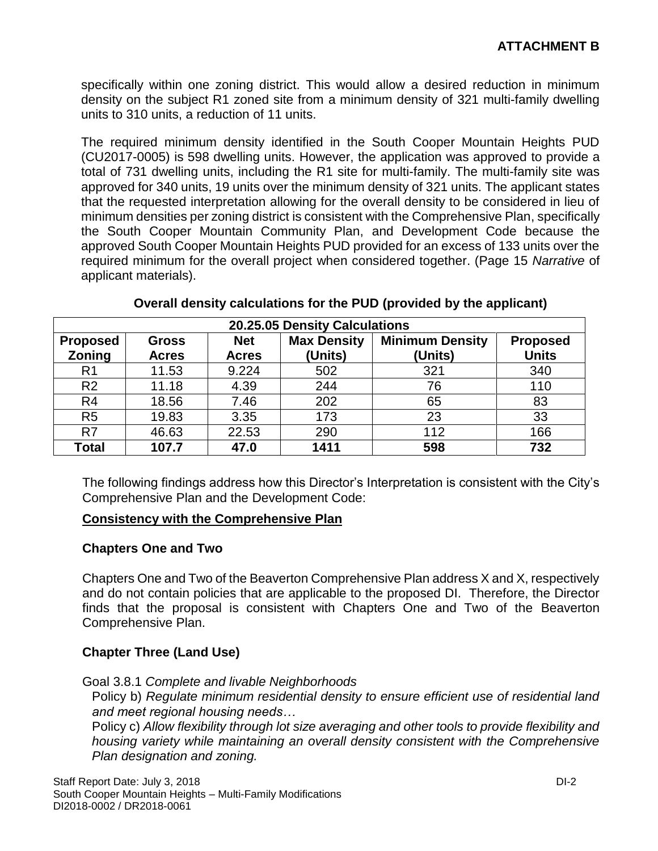specifically within one zoning district. This would allow a desired reduction in minimum density on the subject R1 zoned site from a minimum density of 321 multi-family dwelling units to 310 units, a reduction of 11 units.

The required minimum density identified in the South Cooper Mountain Heights PUD (CU2017-0005) is 598 dwelling units. However, the application was approved to provide a total of 731 dwelling units, including the R1 site for multi-family. The multi-family site was approved for 340 units, 19 units over the minimum density of 321 units. The applicant states that the requested interpretation allowing for the overall density to be considered in lieu of minimum densities per zoning district is consistent with the Comprehensive Plan, specifically the South Cooper Mountain Community Plan, and Development Code because the approved South Cooper Mountain Heights PUD provided for an excess of 133 units over the required minimum for the overall project when considered together. (Page 15 *Narrative* of applicant materials).

| 20.25.05 Density Calculations |              |              |                    |                        |                 |
|-------------------------------|--------------|--------------|--------------------|------------------------|-----------------|
| <b>Proposed</b>               | <b>Gross</b> | <b>Net</b>   | <b>Max Density</b> | <b>Minimum Density</b> | <b>Proposed</b> |
| Zoning                        | <b>Acres</b> | <b>Acres</b> | (Units)            | (Units)                | <b>Units</b>    |
| R <sub>1</sub>                | 11.53        | 9.224        | 502                | 321                    | 340             |
| R <sub>2</sub>                | 11.18        | 4.39         | 244                | 76                     | 110             |
| R <sub>4</sub>                | 18.56        | 7.46         | 202                | 65                     | 83              |
| R <sub>5</sub>                | 19.83        | 3.35         | 173                | 23                     | 33              |
| R <sub>7</sub>                | 46.63        | 22.53        | 290                | 112                    | 166             |
| <b>Total</b>                  | 107.7        | 47.0         | 1411               | 598                    | 732             |

| Overall density calculations for the PUD (provided by the applicant) |  |
|----------------------------------------------------------------------|--|
|----------------------------------------------------------------------|--|

The following findings address how this Director's Interpretation is consistent with the City's Comprehensive Plan and the Development Code:

#### **Consistency with the Comprehensive Plan**

#### **Chapters One and Two**

Chapters One and Two of the Beaverton Comprehensive Plan address X and X, respectively and do not contain policies that are applicable to the proposed DI. Therefore, the Director finds that the proposal is consistent with Chapters One and Two of the Beaverton Comprehensive Plan.

## **Chapter Three (Land Use)**

Goal 3.8.1 *Complete and livable Neighborhoods*

Policy b) *Regulate minimum residential density to ensure efficient use of residential land and meet regional housing needs…*

Policy c) *Allow flexibility through lot size averaging and other tools to provide flexibility and housing variety while maintaining an overall density consistent with the Comprehensive Plan designation and zoning.*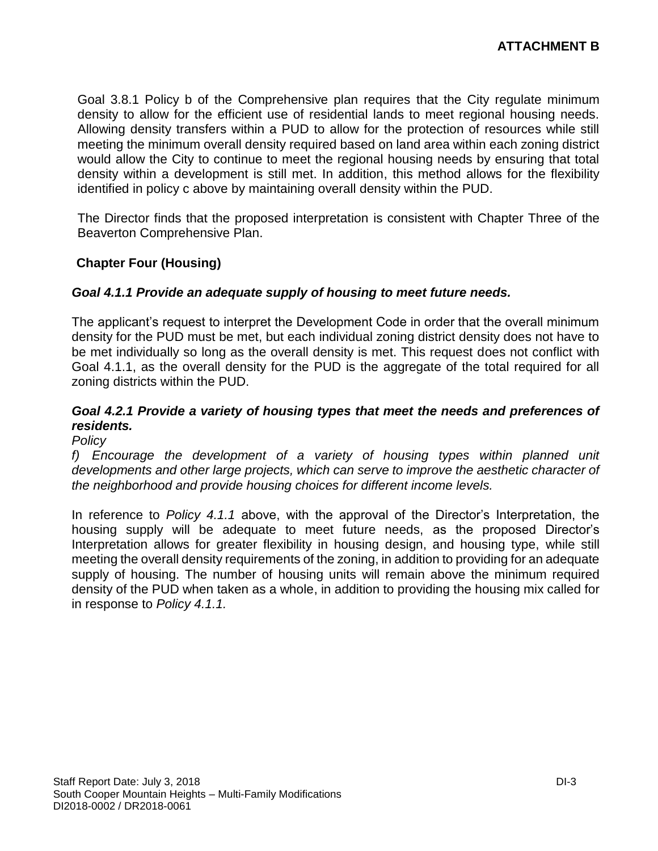Goal 3.8.1 Policy b of the Comprehensive plan requires that the City regulate minimum density to allow for the efficient use of residential lands to meet regional housing needs. Allowing density transfers within a PUD to allow for the protection of resources while still meeting the minimum overall density required based on land area within each zoning district would allow the City to continue to meet the regional housing needs by ensuring that total density within a development is still met. In addition, this method allows for the flexibility identified in policy c above by maintaining overall density within the PUD.

The Director finds that the proposed interpretation is consistent with Chapter Three of the Beaverton Comprehensive Plan.

## **Chapter Four (Housing)**

#### *Goal 4.1.1 Provide an adequate supply of housing to meet future needs.*

The applicant's request to interpret the Development Code in order that the overall minimum density for the PUD must be met, but each individual zoning district density does not have to be met individually so long as the overall density is met. This request does not conflict with Goal 4.1.1, as the overall density for the PUD is the aggregate of the total required for all zoning districts within the PUD.

## *Goal 4.2.1 Provide a variety of housing types that meet the needs and preferences of residents.*

#### *Policy*

f) *Encourage the development of a variety of housing types within planned unit developments and other large projects, which can serve to improve the aesthetic character of the neighborhood and provide housing choices for different income levels.*

In reference to *Policy 4.1.1* above, with the approval of the Director's Interpretation, the housing supply will be adequate to meet future needs, as the proposed Director's Interpretation allows for greater flexibility in housing design, and housing type, while still meeting the overall density requirements of the zoning, in addition to providing for an adequate supply of housing. The number of housing units will remain above the minimum required density of the PUD when taken as a whole, in addition to providing the housing mix called for in response to *Policy 4.1.1.*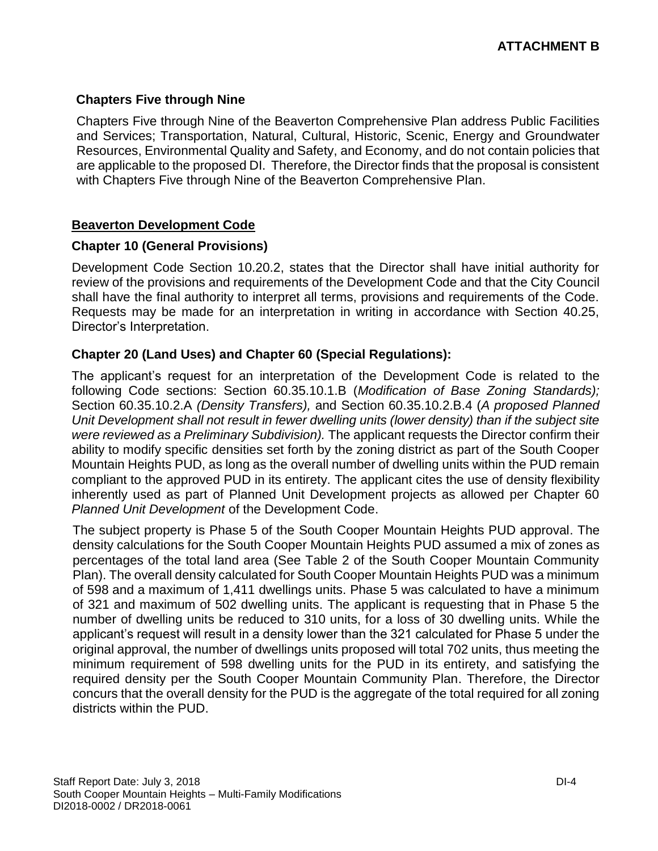## **Chapters Five through Nine**

Chapters Five through Nine of the Beaverton Comprehensive Plan address Public Facilities and Services; Transportation, Natural, Cultural, Historic, Scenic, Energy and Groundwater Resources, Environmental Quality and Safety, and Economy, and do not contain policies that are applicable to the proposed DI. Therefore, the Director finds that the proposal is consistent with Chapters Five through Nine of the Beaverton Comprehensive Plan.

#### **Beaverton Development Code**

#### **Chapter 10 (General Provisions)**

Development Code Section 10.20.2, states that the Director shall have initial authority for review of the provisions and requirements of the Development Code and that the City Council shall have the final authority to interpret all terms, provisions and requirements of the Code. Requests may be made for an interpretation in writing in accordance with Section 40.25, Director's Interpretation.

## **Chapter 20 (Land Uses) and Chapter 60 (Special Regulations):**

The applicant's request for an interpretation of the Development Code is related to the following Code sections: Section 60.35.10.1.B (*Modification of Base Zoning Standards);*  Section 60.35.10.2.A *(Density Transfers),* and Section 60.35.10.2.B.4 (*A proposed Planned Unit Development shall not result in fewer dwelling units (lower density) than if the subject site were reviewed as a Preliminary Subdivision).* The applicant requests the Director confirm their ability to modify specific densities set forth by the zoning district as part of the South Cooper Mountain Heights PUD, as long as the overall number of dwelling units within the PUD remain compliant to the approved PUD in its entirety. The applicant cites the use of density flexibility inherently used as part of Planned Unit Development projects as allowed per Chapter 60 *Planned Unit Development* of the Development Code.

The subject property is Phase 5 of the South Cooper Mountain Heights PUD approval. The density calculations for the South Cooper Mountain Heights PUD assumed a mix of zones as percentages of the total land area (See Table 2 of the South Cooper Mountain Community Plan). The overall density calculated for South Cooper Mountain Heights PUD was a minimum of 598 and a maximum of 1,411 dwellings units. Phase 5 was calculated to have a minimum of 321 and maximum of 502 dwelling units. The applicant is requesting that in Phase 5 the number of dwelling units be reduced to 310 units, for a loss of 30 dwelling units. While the applicant's request will result in a density lower than the 321 calculated for Phase 5 under the original approval, the number of dwellings units proposed will total 702 units, thus meeting the minimum requirement of 598 dwelling units for the PUD in its entirety, and satisfying the required density per the South Cooper Mountain Community Plan. Therefore, the Director concurs that the overall density for the PUD is the aggregate of the total required for all zoning districts within the PUD.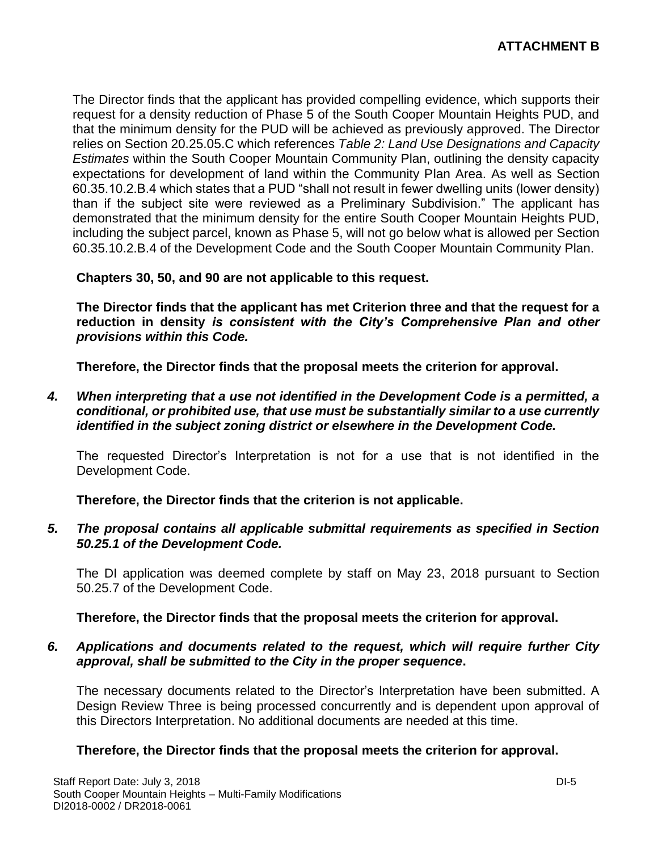The Director finds that the applicant has provided compelling evidence, which supports their request for a density reduction of Phase 5 of the South Cooper Mountain Heights PUD, and that the minimum density for the PUD will be achieved as previously approved. The Director relies on Section 20.25.05.C which references *Table 2: Land Use Designations and Capacity Estimates* within the South Cooper Mountain Community Plan, outlining the density capacity expectations for development of land within the Community Plan Area. As well as Section 60.35.10.2.B.4 which states that a PUD "shall not result in fewer dwelling units (lower density) than if the subject site were reviewed as a Preliminary Subdivision." The applicant has demonstrated that the minimum density for the entire South Cooper Mountain Heights PUD, including the subject parcel, known as Phase 5, will not go below what is allowed per Section 60.35.10.2.B.4 of the Development Code and the South Cooper Mountain Community Plan.

**Chapters 30, 50, and 90 are not applicable to this request.**

**The Director finds that the applicant has met Criterion three and that the request for a reduction in density** *is consistent with the City's Comprehensive Plan and other provisions within this Code.*

**Therefore, the Director finds that the proposal meets the criterion for approval.**

*4. When interpreting that a use not identified in the Development Code is a permitted, a conditional, or prohibited use, that use must be substantially similar to a use currently identified in the subject zoning district or elsewhere in the Development Code.*

The requested Director's Interpretation is not for a use that is not identified in the Development Code.

**Therefore, the Director finds that the criterion is not applicable.**

*5. The proposal contains all applicable submittal requirements as specified in Section 50.25.1 of the Development Code.*

The DI application was deemed complete by staff on May 23, 2018 pursuant to Section 50.25.7 of the Development Code.

**Therefore, the Director finds that the proposal meets the criterion for approval.**

## *6. Applications and documents related to the request, which will require further City approval, shall be submitted to the City in the proper sequence***.**

The necessary documents related to the Director's Interpretation have been submitted. A Design Review Three is being processed concurrently and is dependent upon approval of this Directors Interpretation. No additional documents are needed at this time.

## **Therefore, the Director finds that the proposal meets the criterion for approval.**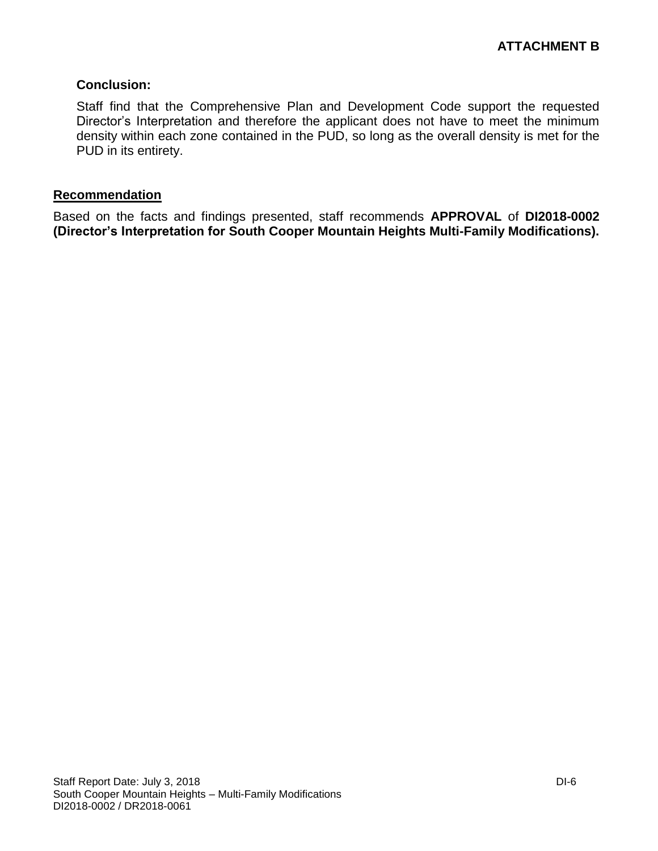## **Conclusion:**

Staff find that the Comprehensive Plan and Development Code support the requested Director's Interpretation and therefore the applicant does not have to meet the minimum density within each zone contained in the PUD, so long as the overall density is met for the PUD in its entirety.

#### **Recommendation**

Based on the facts and findings presented, staff recommends **APPROVAL** of **DI2018-0002 (Director's Interpretation for South Cooper Mountain Heights Multi-Family Modifications).**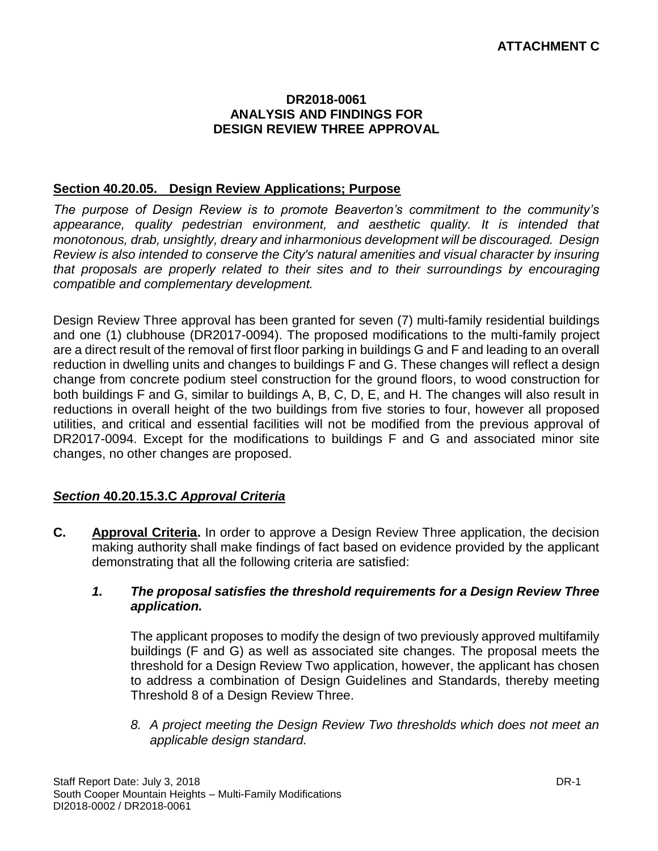#### **DR2018-0061 ANALYSIS AND FINDINGS FOR DESIGN REVIEW THREE APPROVAL**

#### **Section 40.20.05. Design Review Applications; Purpose**

*The purpose of Design Review is to promote Beaverton's commitment to the community's appearance, quality pedestrian environment, and aesthetic quality. It is intended that monotonous, drab, unsightly, dreary and inharmonious development will be discouraged. Design Review is also intended to conserve the City's natural amenities and visual character by insuring that proposals are properly related to their sites and to their surroundings by encouraging compatible and complementary development.*

Design Review Three approval has been granted for seven (7) multi-family residential buildings and one (1) clubhouse (DR2017-0094). The proposed modifications to the multi-family project are a direct result of the removal of first floor parking in buildings G and F and leading to an overall reduction in dwelling units and changes to buildings F and G. These changes will reflect a design change from concrete podium steel construction for the ground floors, to wood construction for both buildings F and G, similar to buildings A, B, C, D, E, and H. The changes will also result in reductions in overall height of the two buildings from five stories to four, however all proposed utilities, and critical and essential facilities will not be modified from the previous approval of DR2017-0094. Except for the modifications to buildings F and G and associated minor site changes, no other changes are proposed.

## *Section* **40.20.15.3.C** *Approval Criteria*

**C. Approval Criteria.** In order to approve a Design Review Three application, the decision making authority shall make findings of fact based on evidence provided by the applicant demonstrating that all the following criteria are satisfied:

#### *1. The proposal satisfies the threshold requirements for a Design Review Three application.*

The applicant proposes to modify the design of two previously approved multifamily buildings (F and G) as well as associated site changes. The proposal meets the threshold for a Design Review Two application, however, the applicant has chosen to address a combination of Design Guidelines and Standards, thereby meeting Threshold 8 of a Design Review Three.

*8. A project meeting the Design Review Two thresholds which does not meet an applicable design standard.*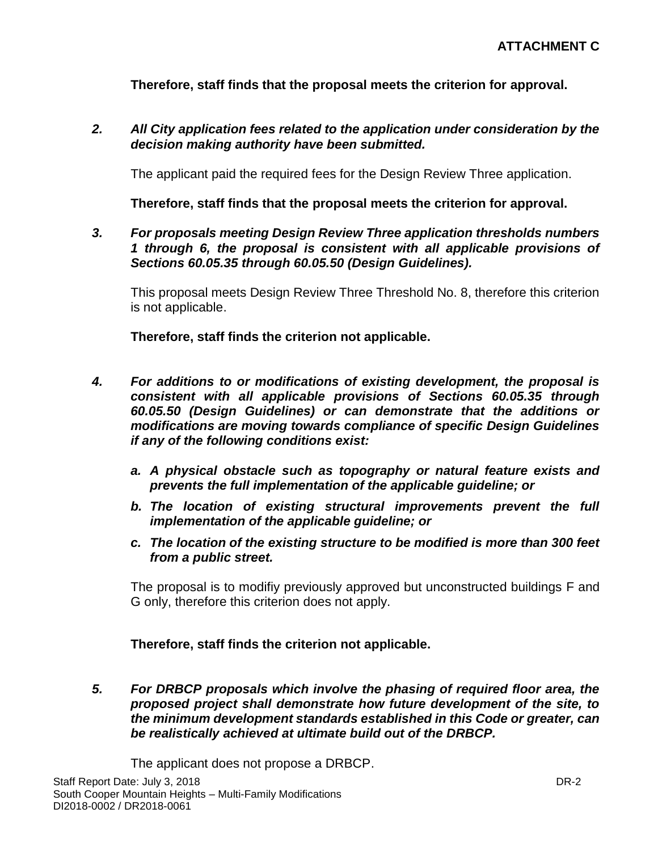**Therefore, staff finds that the proposal meets the criterion for approval.**

*2. All City application fees related to the application under consideration by the decision making authority have been submitted.*

The applicant paid the required fees for the Design Review Three application.

**Therefore, staff finds that the proposal meets the criterion for approval.**

*3. For proposals meeting Design Review Three application thresholds numbers 1 through 6, the proposal is consistent with all applicable provisions of Sections 60.05.35 through 60.05.50 (Design Guidelines).*

This proposal meets Design Review Three Threshold No. 8, therefore this criterion is not applicable.

**Therefore, staff finds the criterion not applicable.**

- *4. For additions to or modifications of existing development, the proposal is consistent with all applicable provisions of Sections 60.05.35 through 60.05.50 (Design Guidelines) or can demonstrate that the additions or modifications are moving towards compliance of specific Design Guidelines if any of the following conditions exist:*
	- *a. A physical obstacle such as topography or natural feature exists and prevents the full implementation of the applicable guideline; or*
	- *b. The location of existing structural improvements prevent the full implementation of the applicable guideline; or*
	- *c. The location of the existing structure to be modified is more than 300 feet from a public street.*

The proposal is to modifiy previously approved but unconstructed buildings F and G only, therefore this criterion does not apply.

**Therefore, staff finds the criterion not applicable.**

*5. For DRBCP proposals which involve the phasing of required floor area, the proposed project shall demonstrate how future development of the site, to the minimum development standards established in this Code or greater, can be realistically achieved at ultimate build out of the DRBCP.*

The applicant does not propose a DRBCP.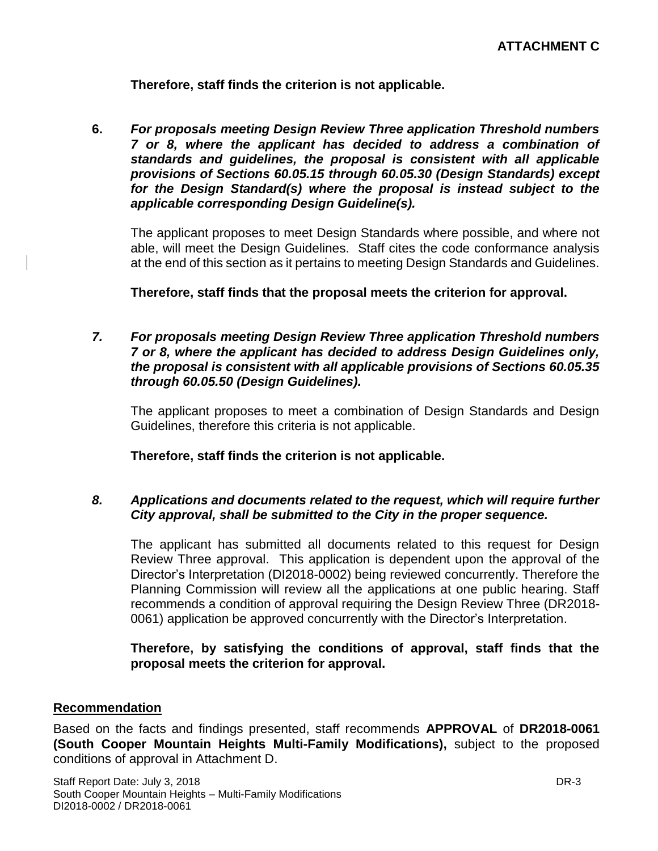**Therefore, staff finds the criterion is not applicable.**

**6.** *For proposals meeting Design Review Three application Threshold numbers 7 or 8, where the applicant has decided to address a combination of standards and guidelines, the proposal is consistent with all applicable provisions of Sections 60.05.15 through 60.05.30 (Design Standards) except for the Design Standard(s) where the proposal is instead subject to the applicable corresponding Design Guideline(s).* 

The applicant proposes to meet Design Standards where possible, and where not able, will meet the Design Guidelines. Staff cites the code conformance analysis at the end of this section as it pertains to meeting Design Standards and Guidelines.

**Therefore, staff finds that the proposal meets the criterion for approval.**

*7. For proposals meeting Design Review Three application Threshold numbers 7 or 8, where the applicant has decided to address Design Guidelines only, the proposal is consistent with all applicable provisions of Sections 60.05.35 through 60.05.50 (Design Guidelines).*

The applicant proposes to meet a combination of Design Standards and Design Guidelines, therefore this criteria is not applicable.

**Therefore, staff finds the criterion is not applicable.**

## *8. Applications and documents related to the request, which will require further City approval, shall be submitted to the City in the proper sequence.*

The applicant has submitted all documents related to this request for Design Review Three approval. This application is dependent upon the approval of the Director's Interpretation (DI2018-0002) being reviewed concurrently. Therefore the Planning Commission will review all the applications at one public hearing. Staff recommends a condition of approval requiring the Design Review Three (DR2018- 0061) application be approved concurrently with the Director's Interpretation.

## **Therefore, by satisfying the conditions of approval, staff finds that the proposal meets the criterion for approval.**

## **Recommendation**

Based on the facts and findings presented, staff recommends **APPROVAL** of **DR2018-0061 (South Cooper Mountain Heights Multi-Family Modifications),** subject to the proposed conditions of approval in Attachment D.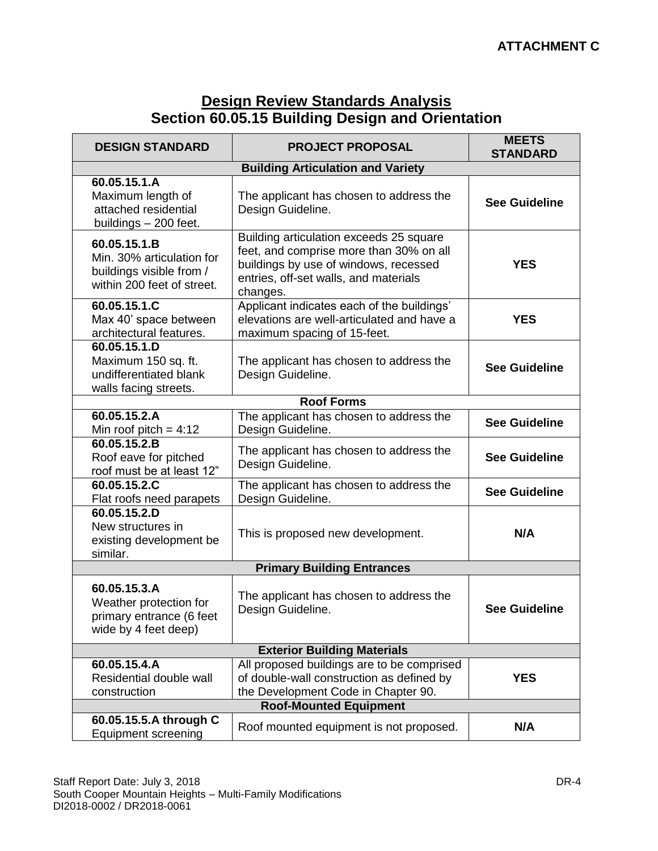# **Design Review Standards Analysis Section 60.05.15 Building Design and Orientation**

| <b>DESIGN STANDARD</b>                                                                              | <b>PROJECT PROPOSAL</b>                                                                                                                                                          | <b>MEETS</b><br><b>STANDARD</b> |  |  |  |
|-----------------------------------------------------------------------------------------------------|----------------------------------------------------------------------------------------------------------------------------------------------------------------------------------|---------------------------------|--|--|--|
| <b>Building Articulation and Variety</b>                                                            |                                                                                                                                                                                  |                                 |  |  |  |
| 60.05.15.1.A<br>Maximum length of<br>attached residential<br>buildings - 200 feet.                  | The applicant has chosen to address the<br>Design Guideline.                                                                                                                     | <b>See Guideline</b>            |  |  |  |
| 60.05.15.1.B<br>Min. 30% articulation for<br>buildings visible from /<br>within 200 feet of street. | Building articulation exceeds 25 square<br>feet, and comprise more than 30% on all<br>buildings by use of windows, recessed<br>entries, off-set walls, and materials<br>changes. | <b>YES</b>                      |  |  |  |
| 60.05.15.1.C<br>Max 40' space between<br>architectural features.                                    | Applicant indicates each of the buildings'<br>elevations are well-articulated and have a<br>maximum spacing of 15-feet.                                                          | <b>YES</b>                      |  |  |  |
| 60.05.15.1.D<br>Maximum 150 sq. ft.<br>undifferentiated blank<br>walls facing streets.              | The applicant has chosen to address the<br>Design Guideline.                                                                                                                     | <b>See Guideline</b>            |  |  |  |
|                                                                                                     | <b>Roof Forms</b>                                                                                                                                                                |                                 |  |  |  |
| 60.05.15.2.A<br>Min roof pitch = $4:12$                                                             | The applicant has chosen to address the<br>Design Guideline.                                                                                                                     | <b>See Guideline</b>            |  |  |  |
| 60.05.15.2.B<br>Roof eave for pitched<br>roof must be at least 12"                                  | The applicant has chosen to address the<br>Design Guideline.                                                                                                                     | <b>See Guideline</b>            |  |  |  |
| 60.05.15.2.C<br>Flat roofs need parapets                                                            | The applicant has chosen to address the<br>Design Guideline.                                                                                                                     | <b>See Guideline</b>            |  |  |  |
| 60.05.15.2.D<br>New structures in<br>existing development be<br>similar.                            | This is proposed new development.                                                                                                                                                | N/A                             |  |  |  |
|                                                                                                     | <b>Primary Building Entrances</b>                                                                                                                                                |                                 |  |  |  |
| 60.05.15.3.A<br>Weather protection for<br>primary entrance (6 feet<br>wide by 4 feet deep)          | The applicant has chosen to address the<br>Design Guideline.                                                                                                                     | <b>See Guideline</b>            |  |  |  |
| <b>Exterior Building Materials</b>                                                                  |                                                                                                                                                                                  |                                 |  |  |  |
| 60.05.15.4.A<br>Residential double wall<br>construction                                             | All proposed buildings are to be comprised<br>of double-wall construction as defined by<br>the Development Code in Chapter 90.                                                   | <b>YES</b>                      |  |  |  |
| <b>Roof-Mounted Equipment</b>                                                                       |                                                                                                                                                                                  |                                 |  |  |  |
| 60.05.15.5.A through C<br><b>Equipment screening</b>                                                | Roof mounted equipment is not proposed.                                                                                                                                          | N/A                             |  |  |  |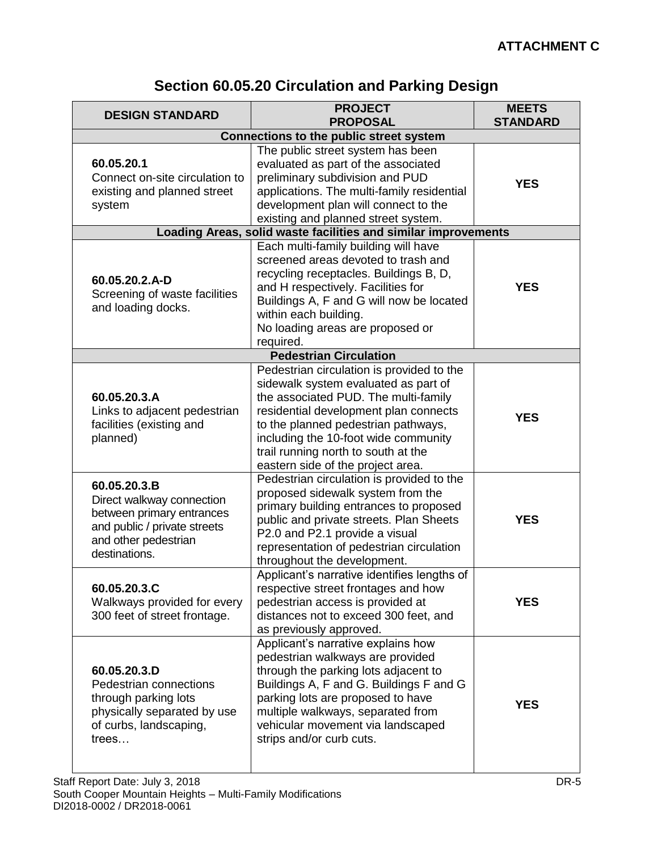# **Section 60.05.20 Circulation and Parking Design**

| <b>DESIGN STANDARD</b>                                                                                                                                                                                                                  | <b>PROJECT</b><br><b>PROPOSAL</b>                                                                                                                                                                                                                                                                                                                                                                                                                                                                                                                                                  | <b>MEETS</b><br><b>STANDARD</b> |
|-----------------------------------------------------------------------------------------------------------------------------------------------------------------------------------------------------------------------------------------|------------------------------------------------------------------------------------------------------------------------------------------------------------------------------------------------------------------------------------------------------------------------------------------------------------------------------------------------------------------------------------------------------------------------------------------------------------------------------------------------------------------------------------------------------------------------------------|---------------------------------|
|                                                                                                                                                                                                                                         | <b>Connections to the public street system</b>                                                                                                                                                                                                                                                                                                                                                                                                                                                                                                                                     |                                 |
| 60.05.20.1<br>Connect on-site circulation to<br>existing and planned street<br>system                                                                                                                                                   | The public street system has been<br>evaluated as part of the associated<br>preliminary subdivision and PUD<br>applications. The multi-family residential<br>development plan will connect to the<br>existing and planned street system.                                                                                                                                                                                                                                                                                                                                           | <b>YES</b>                      |
|                                                                                                                                                                                                                                         | Loading Areas, solid waste facilities and similar improvements                                                                                                                                                                                                                                                                                                                                                                                                                                                                                                                     |                                 |
| 60.05.20.2.A-D<br>Screening of waste facilities<br>and loading docks.                                                                                                                                                                   | Each multi-family building will have<br>screened areas devoted to trash and<br>recycling receptacles. Buildings B, D,<br>and H respectively. Facilities for<br>Buildings A, F and G will now be located<br>within each building.<br>No loading areas are proposed or<br>required.                                                                                                                                                                                                                                                                                                  | <b>YES</b>                      |
|                                                                                                                                                                                                                                         | <b>Pedestrian Circulation</b>                                                                                                                                                                                                                                                                                                                                                                                                                                                                                                                                                      |                                 |
| 60.05.20.3.A<br>Links to adjacent pedestrian<br>facilities (existing and<br>planned)<br>60.05.20.3.B<br>Direct walkway connection<br>between primary entrances<br>and public / private streets<br>and other pedestrian<br>destinations. | Pedestrian circulation is provided to the<br>sidewalk system evaluated as part of<br>the associated PUD. The multi-family<br>residential development plan connects<br>to the planned pedestrian pathways,<br>including the 10-foot wide community<br>trail running north to south at the<br>eastern side of the project area.<br>Pedestrian circulation is provided to the<br>proposed sidewalk system from the<br>primary building entrances to proposed<br>public and private streets. Plan Sheets<br>P2.0 and P2.1 provide a visual<br>representation of pedestrian circulation | <b>YES</b><br><b>YES</b>        |
| 60.05.20.3.C<br>Walkways provided for every<br>300 feet of street frontage.                                                                                                                                                             | throughout the development.<br>Applicant's narrative identifies lengths of<br>respective street frontages and how<br>pedestrian access is provided at<br>distances not to exceed 300 feet, and<br>as previously approved.                                                                                                                                                                                                                                                                                                                                                          | <b>YES</b>                      |
| 60.05.20.3.D<br>Pedestrian connections<br>through parking lots<br>physically separated by use<br>of curbs, landscaping,<br>trees                                                                                                        | Applicant's narrative explains how<br>pedestrian walkways are provided<br>through the parking lots adjacent to<br>Buildings A, F and G. Buildings F and G<br>parking lots are proposed to have<br>multiple walkways, separated from<br>vehicular movement via landscaped<br>strips and/or curb cuts.                                                                                                                                                                                                                                                                               | <b>YES</b>                      |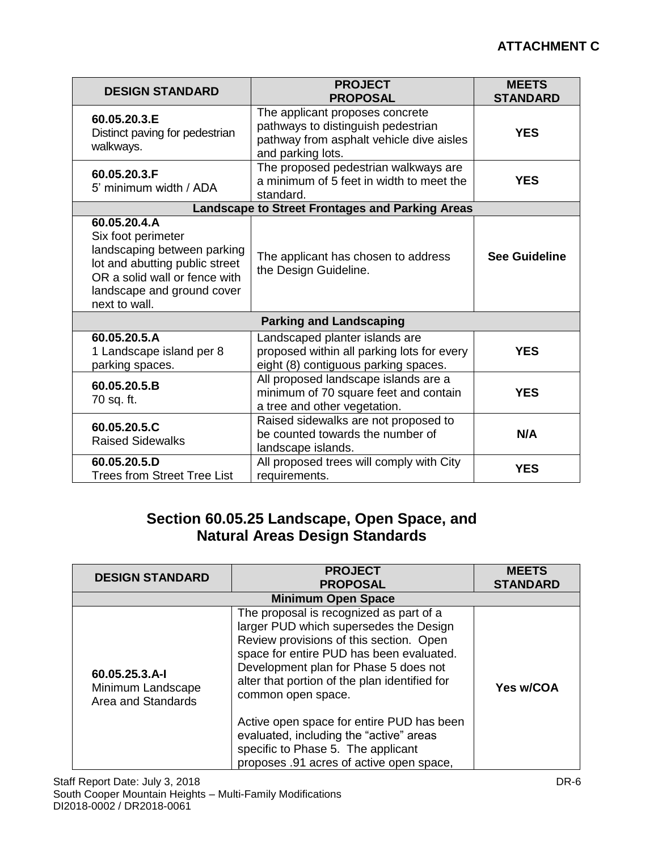| <b>DESIGN STANDARD</b>                                                                                                                                                              | <b>PROJECT</b><br><b>PROPOSAL</b>                                                                                                      | <b>MEETS</b><br><b>STANDARD</b> |
|-------------------------------------------------------------------------------------------------------------------------------------------------------------------------------------|----------------------------------------------------------------------------------------------------------------------------------------|---------------------------------|
| 60.05.20.3.E<br>Distinct paving for pedestrian<br>walkways.                                                                                                                         | The applicant proposes concrete<br>pathways to distinguish pedestrian<br>pathway from asphalt vehicle dive aisles<br>and parking lots. | <b>YES</b>                      |
| 60.05.20.3.F<br>5' minimum width / ADA                                                                                                                                              | The proposed pedestrian walkways are<br>a minimum of 5 feet in width to meet the<br>standard.                                          | <b>YES</b>                      |
|                                                                                                                                                                                     | <b>Landscape to Street Frontages and Parking Areas</b>                                                                                 |                                 |
| 60.05.20.4.A<br>Six foot perimeter<br>landscaping between parking<br>lot and abutting public street<br>OR a solid wall or fence with<br>landscape and ground cover<br>next to wall. | The applicant has chosen to address<br>the Design Guideline.                                                                           | <b>See Guideline</b>            |
|                                                                                                                                                                                     | <b>Parking and Landscaping</b>                                                                                                         |                                 |
| 60.05.20.5.A<br>1 Landscape island per 8<br>parking spaces.                                                                                                                         | Landscaped planter islands are<br>proposed within all parking lots for every<br>eight (8) contiguous parking spaces.                   | <b>YES</b>                      |
| 60.05.20.5.B<br>70 sq. ft.                                                                                                                                                          | All proposed landscape islands are a<br>minimum of 70 square feet and contain<br>a tree and other vegetation.                          | <b>YES</b>                      |
| 60.05.20.5.C<br><b>Raised Sidewalks</b>                                                                                                                                             | Raised sidewalks are not proposed to<br>be counted towards the number of<br>landscape islands.                                         | N/A                             |
| 60.05.20.5.D<br><b>Trees from Street Tree List</b>                                                                                                                                  | All proposed trees will comply with City<br>requirements.                                                                              | <b>YES</b>                      |

# **Section 60.05.25 Landscape, Open Space, and Natural Areas Design Standards**

| <b>DESIGN STANDARD</b>                                    | <b>PROJECT</b><br><b>PROPOSAL</b>                                                                                                                                                                                                                                                        | <b>MEETS</b><br><b>STANDARD</b> |  |  |
|-----------------------------------------------------------|------------------------------------------------------------------------------------------------------------------------------------------------------------------------------------------------------------------------------------------------------------------------------------------|---------------------------------|--|--|
| <b>Minimum Open Space</b>                                 |                                                                                                                                                                                                                                                                                          |                                 |  |  |
| 60.05.25.3.A-I<br>Minimum Landscape<br>Area and Standards | The proposal is recognized as part of a<br>larger PUD which supersedes the Design<br>Review provisions of this section. Open<br>space for entire PUD has been evaluated.<br>Development plan for Phase 5 does not<br>alter that portion of the plan identified for<br>common open space. | <b>Yes w/COA</b>                |  |  |
|                                                           | Active open space for entire PUD has been<br>evaluated, including the "active" areas<br>specific to Phase 5. The applicant<br>proposes .91 acres of active open space,                                                                                                                   |                                 |  |  |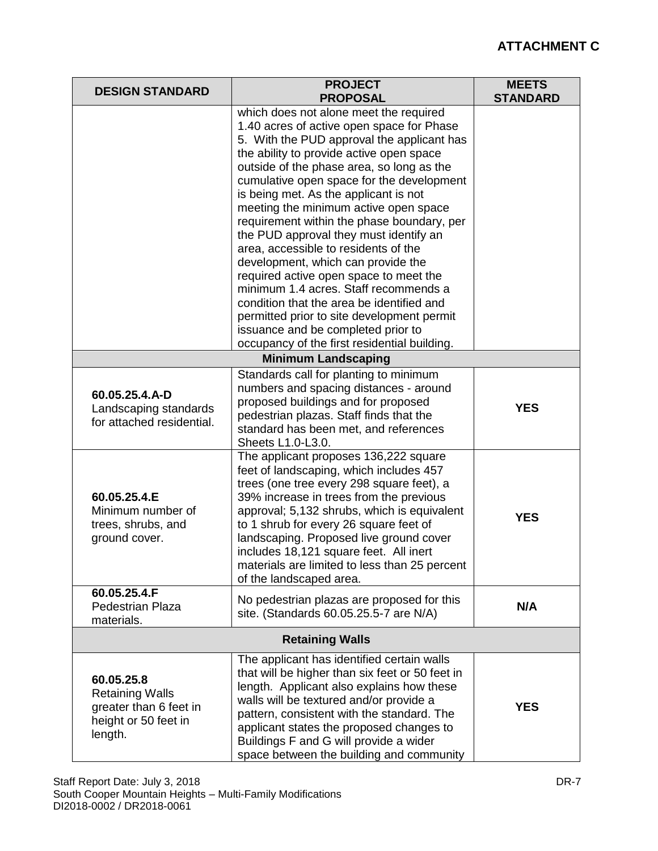| <b>DESIGN STANDARD</b>                                                                                                                           | <b>PROJECT</b><br><b>PROPOSAL</b>                                                                                                                                                                                                                                                                                                                                                                                                                                                                                                                                                                                                                                                                                                                   | <b>MEETS</b><br><b>STANDARD</b> |
|--------------------------------------------------------------------------------------------------------------------------------------------------|-----------------------------------------------------------------------------------------------------------------------------------------------------------------------------------------------------------------------------------------------------------------------------------------------------------------------------------------------------------------------------------------------------------------------------------------------------------------------------------------------------------------------------------------------------------------------------------------------------------------------------------------------------------------------------------------------------------------------------------------------------|---------------------------------|
|                                                                                                                                                  | which does not alone meet the required<br>1.40 acres of active open space for Phase<br>5. With the PUD approval the applicant has<br>the ability to provide active open space<br>outside of the phase area, so long as the<br>cumulative open space for the development<br>is being met. As the applicant is not<br>meeting the minimum active open space<br>requirement within the phase boundary, per<br>the PUD approval they must identify an<br>area, accessible to residents of the<br>development, which can provide the<br>required active open space to meet the<br>minimum 1.4 acres. Staff recommends a<br>condition that the area be identified and<br>permitted prior to site development permit<br>issuance and be completed prior to |                                 |
|                                                                                                                                                  | occupancy of the first residential building.<br><b>Minimum Landscaping</b>                                                                                                                                                                                                                                                                                                                                                                                                                                                                                                                                                                                                                                                                          |                                 |
| 60.05.25.4.A-D<br>Landscaping standards<br>for attached residential.<br>60.05.25.4.E<br>Minimum number of<br>trees, shrubs, and<br>ground cover. | Standards call for planting to minimum<br>numbers and spacing distances - around<br>proposed buildings and for proposed<br>pedestrian plazas. Staff finds that the<br>standard has been met, and references<br>Sheets L1.0-L3.0.<br>The applicant proposes 136,222 square<br>feet of landscaping, which includes 457<br>trees (one tree every 298 square feet), a<br>39% increase in trees from the previous<br>approval; 5,132 shrubs, which is equivalent<br>to 1 shrub for every 26 square feet of<br>landscaping. Proposed live ground cover<br>includes 18,121 square feet. All inert<br>materials are limited to less than 25 percent<br>of the landscaped area.                                                                              | <b>YES</b><br><b>YES</b>        |
| 60.05.25.4.F<br><b>Pedestrian Plaza</b><br>materials.                                                                                            | No pedestrian plazas are proposed for this<br>site. (Standards 60.05.25.5-7 are N/A)                                                                                                                                                                                                                                                                                                                                                                                                                                                                                                                                                                                                                                                                | N/A                             |
| <b>Retaining Walls</b>                                                                                                                           |                                                                                                                                                                                                                                                                                                                                                                                                                                                                                                                                                                                                                                                                                                                                                     |                                 |
| 60.05.25.8<br><b>Retaining Walls</b><br>greater than 6 feet in<br>height or 50 feet in<br>length.                                                | The applicant has identified certain walls<br>that will be higher than six feet or 50 feet in<br>length. Applicant also explains how these<br>walls will be textured and/or provide a<br>pattern, consistent with the standard. The<br>applicant states the proposed changes to<br>Buildings F and G will provide a wider<br>space between the building and community                                                                                                                                                                                                                                                                                                                                                                               | <b>YES</b>                      |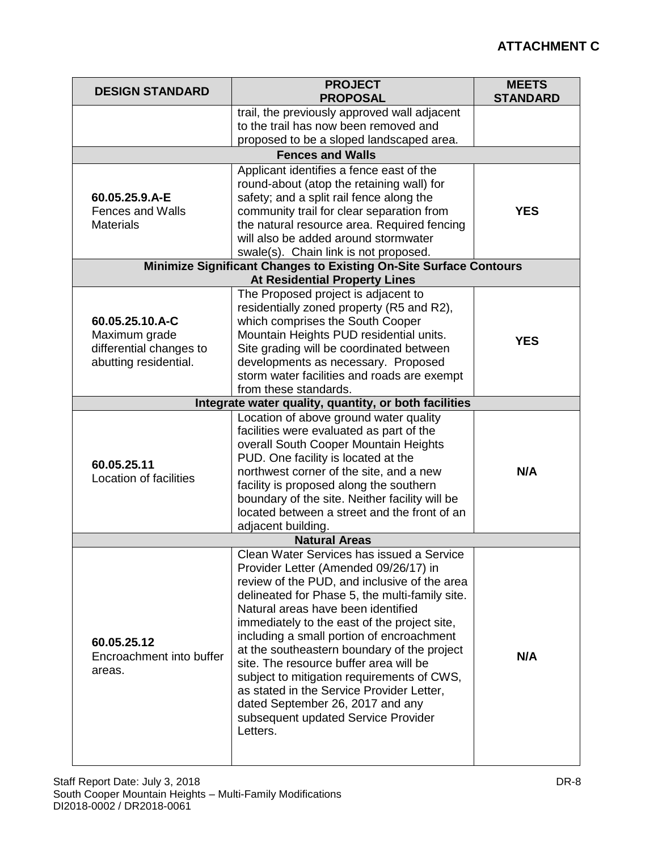| <b>DESIGN STANDARD</b>                                                               | <b>PROJECT</b><br><b>PROPOSAL</b>                                                                                                                                                                                                                                                                                                                                                                                                                                                                                                                                                                  | <b>MEETS</b><br><b>STANDARD</b> |
|--------------------------------------------------------------------------------------|----------------------------------------------------------------------------------------------------------------------------------------------------------------------------------------------------------------------------------------------------------------------------------------------------------------------------------------------------------------------------------------------------------------------------------------------------------------------------------------------------------------------------------------------------------------------------------------------------|---------------------------------|
|                                                                                      | trail, the previously approved wall adjacent<br>to the trail has now been removed and<br>proposed to be a sloped landscaped area.                                                                                                                                                                                                                                                                                                                                                                                                                                                                  |                                 |
|                                                                                      | <b>Fences and Walls</b>                                                                                                                                                                                                                                                                                                                                                                                                                                                                                                                                                                            |                                 |
| 60.05.25.9.A-E<br><b>Fences and Walls</b><br><b>Materials</b>                        | Applicant identifies a fence east of the<br>round-about (atop the retaining wall) for<br>safety; and a split rail fence along the<br>community trail for clear separation from<br>the natural resource area. Required fencing<br>will also be added around stormwater<br>swale(s). Chain link is not proposed.                                                                                                                                                                                                                                                                                     | <b>YES</b>                      |
|                                                                                      | <b>Minimize Significant Changes to Existing On-Site Surface Contours</b>                                                                                                                                                                                                                                                                                                                                                                                                                                                                                                                           |                                 |
|                                                                                      | <b>At Residential Property Lines</b>                                                                                                                                                                                                                                                                                                                                                                                                                                                                                                                                                               |                                 |
| 60.05.25.10.A-C<br>Maximum grade<br>differential changes to<br>abutting residential. | The Proposed project is adjacent to<br>residentially zoned property (R5 and R2),<br>which comprises the South Cooper<br>Mountain Heights PUD residential units.<br>Site grading will be coordinated between<br>developments as necessary. Proposed<br>storm water facilities and roads are exempt<br>from these standards.                                                                                                                                                                                                                                                                         | <b>YES</b>                      |
|                                                                                      | Integrate water quality, quantity, or both facilities                                                                                                                                                                                                                                                                                                                                                                                                                                                                                                                                              |                                 |
| 60.05.25.11<br>Location of facilities                                                | Location of above ground water quality<br>facilities were evaluated as part of the<br>overall South Cooper Mountain Heights<br>PUD. One facility is located at the<br>northwest corner of the site, and a new<br>facility is proposed along the southern<br>boundary of the site. Neither facility will be<br>located between a street and the front of an<br>adjacent building.                                                                                                                                                                                                                   | N/A                             |
|                                                                                      | <b>Natural Areas</b>                                                                                                                                                                                                                                                                                                                                                                                                                                                                                                                                                                               |                                 |
| 60.05.25.12<br>Encroachment into buffer<br>areas.                                    | Clean Water Services has issued a Service<br>Provider Letter (Amended 09/26/17) in<br>review of the PUD, and inclusive of the area<br>delineated for Phase 5, the multi-family site.<br>Natural areas have been identified<br>immediately to the east of the project site,<br>including a small portion of encroachment<br>at the southeastern boundary of the project<br>site. The resource buffer area will be<br>subject to mitigation requirements of CWS,<br>as stated in the Service Provider Letter,<br>dated September 26, 2017 and any<br>subsequent updated Service Provider<br>Letters. | N/A                             |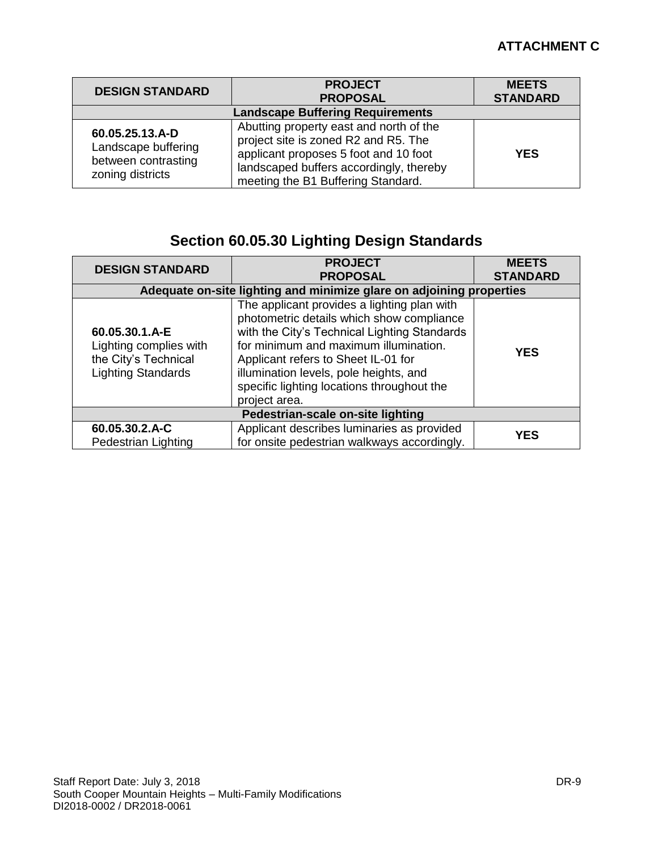| <b>DESIGN STANDARD</b>                                                            | <b>PROJECT</b><br><b>PROPOSAL</b>                                                                                                                                                                         | <b>MEETS</b><br><b>STANDARD</b> |
|-----------------------------------------------------------------------------------|-----------------------------------------------------------------------------------------------------------------------------------------------------------------------------------------------------------|---------------------------------|
| <b>Landscape Buffering Requirements</b>                                           |                                                                                                                                                                                                           |                                 |
| 60.05.25.13.A-D<br>Landscape buffering<br>between contrasting<br>zoning districts | Abutting property east and north of the<br>project site is zoned R2 and R5. The<br>applicant proposes 5 foot and 10 foot<br>landscaped buffers accordingly, thereby<br>meeting the B1 Buffering Standard. | <b>YES</b>                      |

# **Section 60.05.30 Lighting Design Standards**

| <b>DESIGN STANDARD</b>                                                                        | <b>PROJECT</b><br><b>PROPOSAL</b>                                                                                                                                                                                                                                                                                                 | <b>MEETS</b><br><b>STANDARD</b> |
|-----------------------------------------------------------------------------------------------|-----------------------------------------------------------------------------------------------------------------------------------------------------------------------------------------------------------------------------------------------------------------------------------------------------------------------------------|---------------------------------|
| Adequate on-site lighting and minimize glare on adjoining properties                          |                                                                                                                                                                                                                                                                                                                                   |                                 |
| 60.05.30.1.A-E<br>Lighting complies with<br>the City's Technical<br><b>Lighting Standards</b> | The applicant provides a lighting plan with<br>photometric details which show compliance<br>with the City's Technical Lighting Standards<br>for minimum and maximum illumination.<br>Applicant refers to Sheet IL-01 for<br>illumination levels, pole heights, and<br>specific lighting locations throughout the<br>project area. | <b>YES</b>                      |
| Pedestrian-scale on-site lighting                                                             |                                                                                                                                                                                                                                                                                                                                   |                                 |
| 60.05.30.2.A-C<br>Pedestrian Lighting                                                         | Applicant describes luminaries as provided<br>for onsite pedestrian walkways accordingly.                                                                                                                                                                                                                                         | <b>YES</b>                      |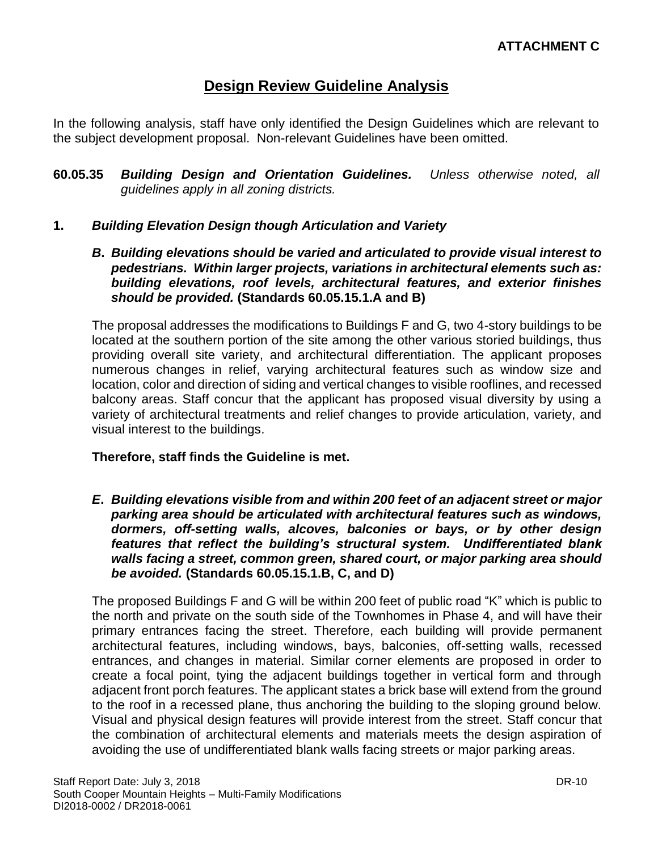# **Design Review Guideline Analysis**

In the following analysis, staff have only identified the Design Guidelines which are relevant to the subject development proposal. Non-relevant Guidelines have been omitted.

**60.05.35** *Building Design and Orientation Guidelines. Unless otherwise noted, all guidelines apply in all zoning districts.*

#### **1.** *Building Elevation Design though Articulation and Variety*

*B***.** *Building elevations should be varied and articulated to provide visual interest to pedestrians. Within larger projects, variations in architectural elements such as: building elevations, roof levels, architectural features, and exterior finishes should be provided.* **(Standards 60.05.15.1.A and B)**

The proposal addresses the modifications to Buildings F and G, two 4-story buildings to be located at the southern portion of the site among the other various storied buildings, thus providing overall site variety, and architectural differentiation. The applicant proposes numerous changes in relief, varying architectural features such as window size and location, color and direction of siding and vertical changes to visible rooflines, and recessed balcony areas. Staff concur that the applicant has proposed visual diversity by using a variety of architectural treatments and relief changes to provide articulation, variety, and visual interest to the buildings.

#### **Therefore, staff finds the Guideline is met.**

*E***.** *Building elevations visible from and within 200 feet of an adjacent street or major parking area should be articulated with architectural features such as windows, dormers, off-setting walls, alcoves, balconies or bays, or by other design features that reflect the building's structural system. Undifferentiated blank walls facing a street, common green, shared court, or major parking area should be avoided.* **(Standards 60.05.15.1.B, C, and D)**

The proposed Buildings F and G will be within 200 feet of public road "K" which is public to the north and private on the south side of the Townhomes in Phase 4, and will have their primary entrances facing the street. Therefore, each building will provide permanent architectural features, including windows, bays, balconies, off-setting walls, recessed entrances, and changes in material. Similar corner elements are proposed in order to create a focal point, tying the adjacent buildings together in vertical form and through adjacent front porch features. The applicant states a brick base will extend from the ground to the roof in a recessed plane, thus anchoring the building to the sloping ground below. Visual and physical design features will provide interest from the street. Staff concur that the combination of architectural elements and materials meets the design aspiration of avoiding the use of undifferentiated blank walls facing streets or major parking areas.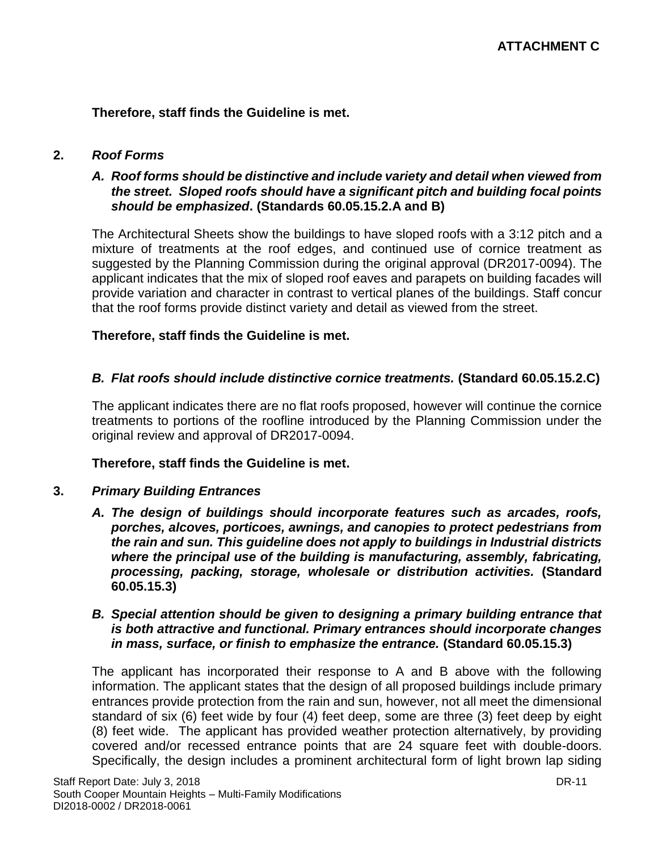**Therefore, staff finds the Guideline is met.**

#### **2.** *Roof Forms*

#### *A. Roof forms should be distinctive and include variety and detail when viewed from the street. Sloped roofs should have a significant pitch and building focal points should be emphasized***. (Standards 60.05.15.2.A and B)**

The Architectural Sheets show the buildings to have sloped roofs with a 3:12 pitch and a mixture of treatments at the roof edges, and continued use of cornice treatment as suggested by the Planning Commission during the original approval (DR2017-0094). The applicant indicates that the mix of sloped roof eaves and parapets on building facades will provide variation and character in contrast to vertical planes of the buildings. Staff concur that the roof forms provide distinct variety and detail as viewed from the street.

#### **Therefore, staff finds the Guideline is met.**

#### *B. Flat roofs should include distinctive cornice treatments.* **(Standard 60.05.15.2.C)**

The applicant indicates there are no flat roofs proposed, however will continue the cornice treatments to portions of the roofline introduced by the Planning Commission under the original review and approval of DR2017-0094.

#### **Therefore, staff finds the Guideline is met.**

#### **3.** *Primary Building Entrances*

*A. The design of buildings should incorporate features such as arcades, roofs, porches, alcoves, porticoes, awnings, and canopies to protect pedestrians from the rain and sun. This guideline does not apply to buildings in Industrial districts where the principal use of the building is manufacturing, assembly, fabricating, processing, packing, storage, wholesale or distribution activities.* **(Standard 60.05.15.3)**

#### *B. Special attention should be given to designing a primary building entrance that is both attractive and functional. Primary entrances should incorporate changes in mass, surface, or finish to emphasize the entrance.* **(Standard 60.05.15.3)**

The applicant has incorporated their response to A and B above with the following information. The applicant states that the design of all proposed buildings include primary entrances provide protection from the rain and sun, however, not all meet the dimensional standard of six (6) feet wide by four (4) feet deep, some are three (3) feet deep by eight (8) feet wide. The applicant has provided weather protection alternatively, by providing covered and/or recessed entrance points that are 24 square feet with double-doors. Specifically, the design includes a prominent architectural form of light brown lap siding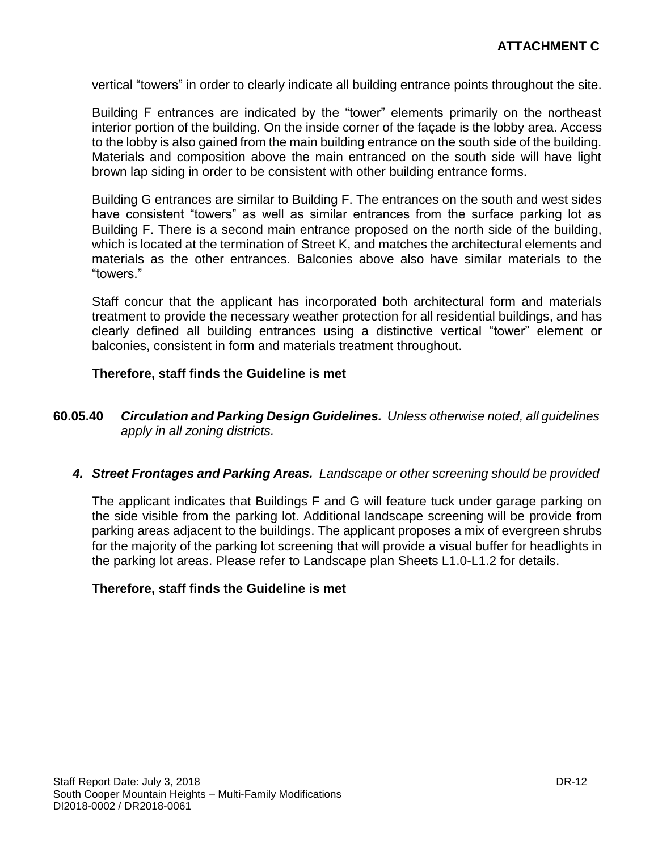vertical "towers" in order to clearly indicate all building entrance points throughout the site.

Building F entrances are indicated by the "tower" elements primarily on the northeast interior portion of the building. On the inside corner of the façade is the lobby area. Access to the lobby is also gained from the main building entrance on the south side of the building. Materials and composition above the main entranced on the south side will have light brown lap siding in order to be consistent with other building entrance forms.

Building G entrances are similar to Building F. The entrances on the south and west sides have consistent "towers" as well as similar entrances from the surface parking lot as Building F. There is a second main entrance proposed on the north side of the building, which is located at the termination of Street K, and matches the architectural elements and materials as the other entrances. Balconies above also have similar materials to the "towers."

Staff concur that the applicant has incorporated both architectural form and materials treatment to provide the necessary weather protection for all residential buildings, and has clearly defined all building entrances using a distinctive vertical "tower" element or balconies, consistent in form and materials treatment throughout.

#### **Therefore, staff finds the Guideline is met**

- **60.05.40** *Circulation and Parking Design Guidelines. Unless otherwise noted, all guidelines apply in all zoning districts.*
	- *4. Street Frontages and Parking Areas. Landscape or other screening should be provided*

The applicant indicates that Buildings F and G will feature tuck under garage parking on the side visible from the parking lot. Additional landscape screening will be provide from parking areas adjacent to the buildings. The applicant proposes a mix of evergreen shrubs for the majority of the parking lot screening that will provide a visual buffer for headlights in the parking lot areas. Please refer to Landscape plan Sheets L1.0-L1.2 for details.

#### **Therefore, staff finds the Guideline is met**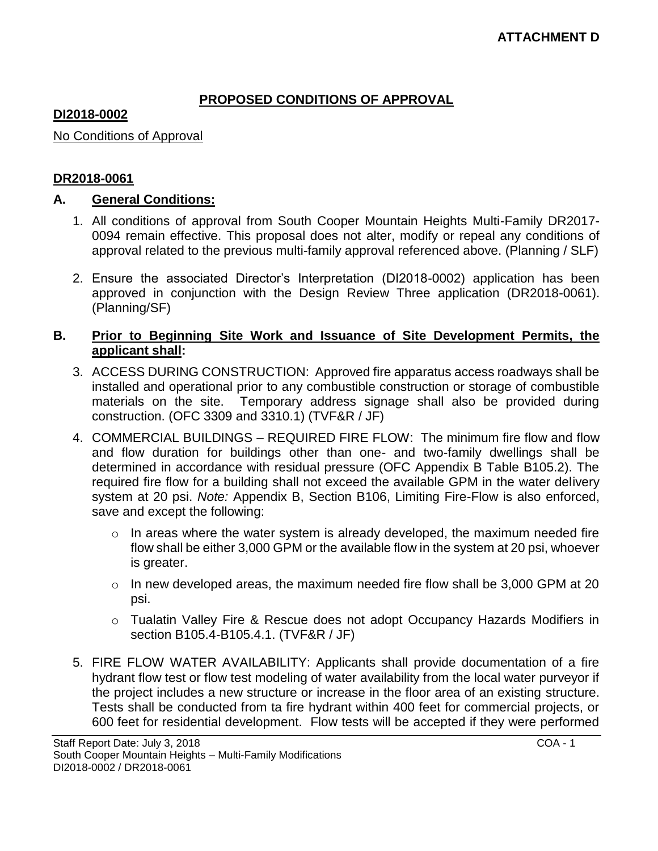## **PROPOSED CONDITIONS OF APPROVAL**

## **DI2018-0002**

No Conditions of Approval

## **DR2018-0061**

## **A. General Conditions:**

- 1. All conditions of approval from South Cooper Mountain Heights Multi-Family DR2017- 0094 remain effective. This proposal does not alter, modify or repeal any conditions of approval related to the previous multi-family approval referenced above. (Planning / SLF)
- 2. Ensure the associated Director's Interpretation (DI2018-0002) application has been approved in conjunction with the Design Review Three application (DR2018-0061). (Planning/SF)

## **B. Prior to Beginning Site Work and Issuance of Site Development Permits, the applicant shall:**

- 3. ACCESS DURING CONSTRUCTION: Approved fire apparatus access roadways shall be installed and operational prior to any combustible construction or storage of combustible materials on the site. Temporary address signage shall also be provided during construction. (OFC 3309 and 3310.1) (TVF&R / JF)
- 4. COMMERCIAL BUILDINGS REQUIRED FIRE FLOW: The minimum fire flow and flow and flow duration for buildings other than one- and two-family dwellings shall be determined in accordance with residual pressure (OFC Appendix B Table B105.2). The required fire flow for a building shall not exceed the available GPM in the water delivery system at 20 psi. *Note:* Appendix B, Section B106, Limiting Fire-Flow is also enforced, save and except the following:
	- $\circ$  In areas where the water system is already developed, the maximum needed fire flow shall be either 3,000 GPM or the available flow in the system at 20 psi, whoever is greater.
	- $\circ$  In new developed areas, the maximum needed fire flow shall be 3,000 GPM at 20 psi.
	- o Tualatin Valley Fire & Rescue does not adopt Occupancy Hazards Modifiers in section B105.4-B105.4.1. (TVF&R / JF)
- 5. FIRE FLOW WATER AVAILABILITY: Applicants shall provide documentation of a fire hydrant flow test or flow test modeling of water availability from the local water purveyor if the project includes a new structure or increase in the floor area of an existing structure. Tests shall be conducted from ta fire hydrant within 400 feet for commercial projects, or 600 feet for residential development. Flow tests will be accepted if they were performed